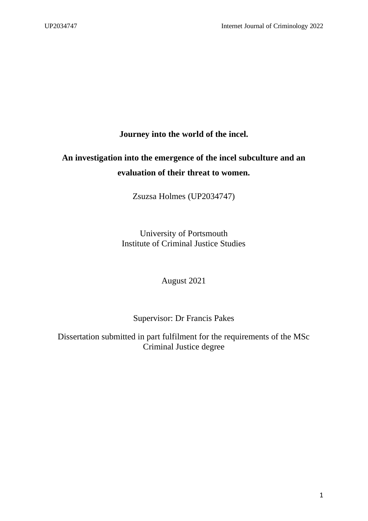**Journey into the world of the incel.** 

# **An investigation into the emergence of the incel subculture and an evaluation of their threat to women.**

Zsuzsa Holmes (UP2034747)

University of Portsmouth Institute of Criminal Justice Studies

August 2021

## Supervisor: Dr Francis Pakes

Dissertation submitted in part fulfilment for the requirements of the MSc Criminal Justice degree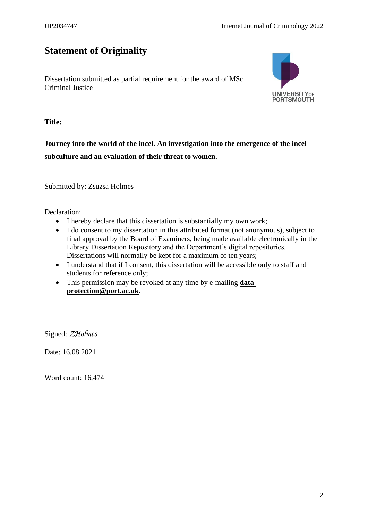# <span id="page-1-0"></span>**Statement of Originality**

Dissertation submitted as partial requirement for the award of MSc Criminal Justice



**Title:**

**Journey into the world of the incel. An investigation into the emergence of the incel subculture and an evaluation of their threat to women.**

Submitted by: Zsuzsa Holmes

Declaration:

- I hereby declare that this dissertation is substantially my own work;
- I do consent to my dissertation in this attributed format (not anonymous), subject to final approval by the Board of Examiners, being made available electronically in the Library Dissertation Repository and the Department's digital repositories. Dissertations will normally be kept for a maximum of ten years;
- I understand that if I consent, this dissertation will be accessible only to staff and students for reference only;
- This permission may be revoked at any time by e-mailing **[data](mailto:data-protection@port.ac.uk)[protection@port.ac.uk.](mailto:data-protection@port.ac.uk)**

Signed: *ZHolmes* 

Date: 16.08.2021

Word count: 16,474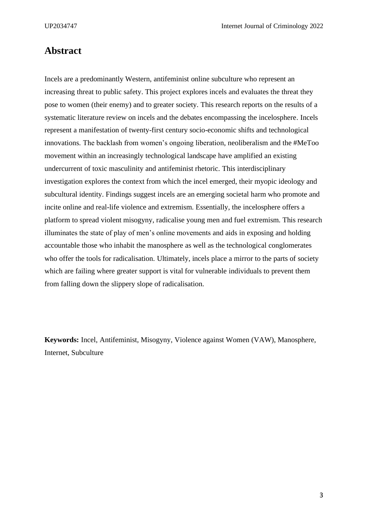## <span id="page-2-0"></span>**Abstract**

Incels are a predominantly Western, antifeminist online subculture who represent an increasing threat to public safety. This project explores incels and evaluates the threat they pose to women (their enemy) and to greater society. This research reports on the results of a systematic literature review on incels and the debates encompassing the incelosphere. Incels represent a manifestation of twenty-first century socio-economic shifts and technological innovations. The backlash from women's ongoing liberation, neoliberalism and the #MeToo movement within an increasingly technological landscape have amplified an existing undercurrent of toxic masculinity and antifeminist rhetoric. This interdisciplinary investigation explores the context from which the incel emerged, their myopic ideology and subcultural identity. Findings suggest incels are an emerging societal harm who promote and incite online and real-life violence and extremism. Essentially, the incelosphere offers a platform to spread violent misogyny, radicalise young men and fuel extremism. This research illuminates the state of play of men's online movements and aids in exposing and holding accountable those who inhabit the manosphere as well as the technological conglomerates who offer the tools for radicalisation. Ultimately, incels place a mirror to the parts of society which are failing where greater support is vital for vulnerable individuals to prevent them from falling down the slippery slope of radicalisation.

**Keywords:** Incel, Antifeminist, Misogyny, Violence against Women (VAW), Manosphere, Internet, Subculture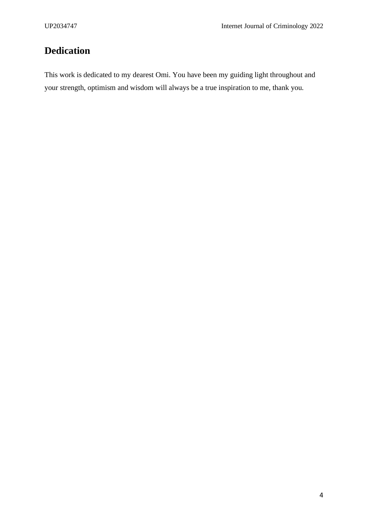# <span id="page-3-0"></span>**Dedication**

This work is dedicated to my dearest Omi. You have been my guiding light throughout and your strength, optimism and wisdom will always be a true inspiration to me, thank you.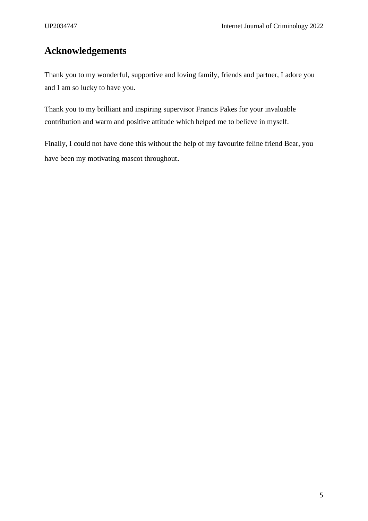# <span id="page-4-0"></span>**Acknowledgements**

Thank you to my wonderful, supportive and loving family, friends and partner, I adore you and I am so lucky to have you.

Thank you to my brilliant and inspiring supervisor Francis Pakes for your invaluable contribution and warm and positive attitude which helped me to believe in myself.

Finally, I could not have done this without the help of my favourite feline friend Bear, you have been my motivating mascot throughout.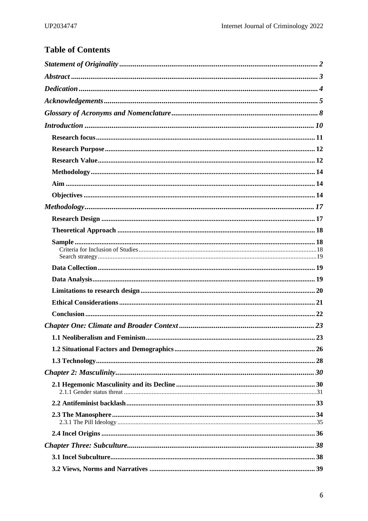# **Table of Contents**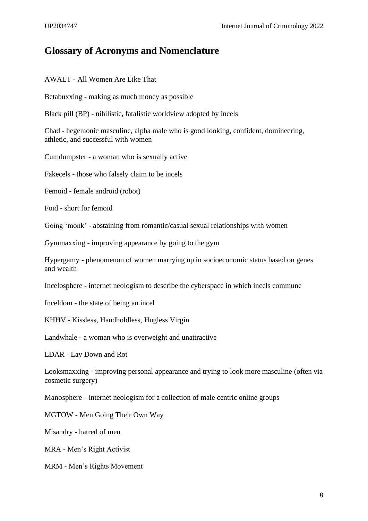## <span id="page-7-0"></span>**Glossary of Acronyms and Nomenclature**

AWALT - All Women Are Like That

Betabuxxing - making as much money as possible

Black pill (BP) - nihilistic, fatalistic worldview adopted by incels

Chad - hegemonic masculine, alpha male who is good looking, confident, domineering, athletic, and successful with women

Cumdumpster - a woman who is sexually active

Fakecels - those who falsely claim to be incels

Femoid - female android (robot)

Foid - short for femoid

Going 'monk' - abstaining from romantic/casual sexual relationships with women

Gymmaxxing - improving appearance by going to the gym

Hypergamy - phenomenon of women marrying up in socioeconomic status based on genes and wealth

Incelosphere - internet neologism to describe the cyberspace in which incels commune

Inceldom - the state of being an incel

KHHV - Kissless, Handholdless, Hugless Virgin

Landwhale - a woman who is overweight and unattractive

LDAR - Lay Down and Rot

Looksmaxxing - improving personal appearance and trying to look more masculine (often via cosmetic surgery)

Manosphere - internet neologism for a collection of male centric online groups

MGTOW - Men Going Their Own Way

Misandry - hatred of men

MRA - Men's Right Activist

MRM - Men's Rights Movement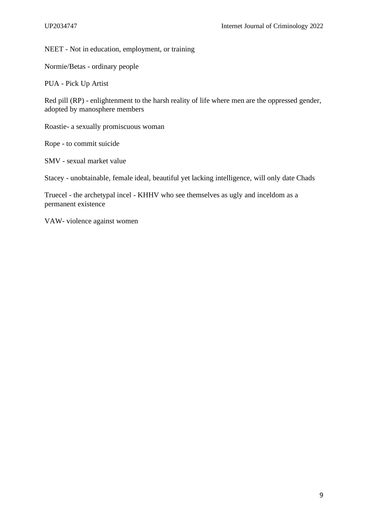NEET - Not in education, employment, or training

Normie/Betas - ordinary people

PUA - Pick Up Artist

Red pill (RP) - enlightenment to the harsh reality of life where men are the oppressed gender, adopted by manosphere members

Roastie- a sexually promiscuous woman

Rope - to commit suicide

SMV - sexual market value

Stacey - unobtainable, female ideal, beautiful yet lacking intelligence, will only date Chads

Truecel - the archetypal incel - KHHV who see themselves as ugly and inceldom as a permanent existence

VAW- violence against women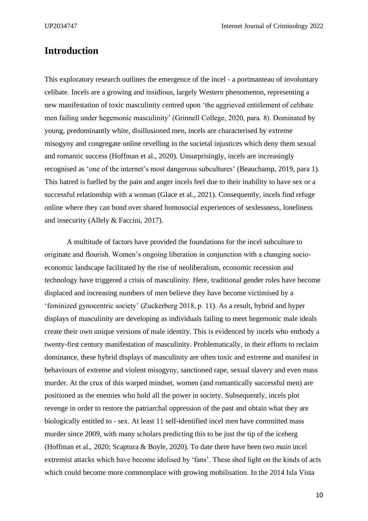## <span id="page-9-0"></span>**Introduction**

This exploratory research outlines the emergence of the incel - a portmanteau of involuntary celibate. Incels are a growing and insidious, largely Western phenomenon, representing a new manifestation of toxic masculinity centred upon 'the aggrieved entitlement of celibate men failing under hegemonic masculinity' (Grinnell College, 2020, para. 8). Dominated by young, predominantly white, disillusioned men, incels are characterised by extreme misogyny and congregate online revelling in the societal injustices which deny them sexual and romantic success (Hoffman et al., 2020). Unsurprisingly, incels are increasingly recognised as 'one of the internet's most dangerous subcultures' (Beauchamp, 2019, para 1). This hatred is fuelled by the pain and anger incels feel due to their inability to have sex or a successful relationship with a woman (Glace et al., 2021). Consequently, incels find refuge online where they can bond over shared homosocial experiences of sexlessness, loneliness and insecurity (Allely & Faccini, 2017).

A multitude of factors have provided the foundations for the incel subculture to originate and flourish. Women's ongoing liberation in conjunction with a changing socioeconomic landscape facilitated by the rise of neoliberalism, economic recession and technology have triggered a crisis of masculinity. Here, traditional gender roles have become displaced and increasing numbers of men believe they have become victimised by a 'feminized gynocentric society' (Zuckerberg 2018, p. 11). As a result, hybrid and hyper displays of masculinity are developing as individuals failing to meet hegemonic male ideals create their own unique versions of male identity. This is evidenced by incels who embody a twenty-first century manifestation of masculinity. Problematically, in their efforts to reclaim dominance, these hybrid displays of masculinity are often toxic and extreme and manifest in behaviours of extreme and violent misogyny, sanctioned rape, sexual slavery and even mass murder. At the crux of this warped mindset, women (and romantically successful men) are positioned as the enemies who hold all the power in society. Subsequently, incels plot revenge in order to restore the patriarchal oppression of the past and obtain what they are biologically entitled to - sex. At least 11 self-identified incel men have committed mass murder since 2009, with many scholars predicting this to be just the tip of the iceberg (Hoffman et al., 2020; Scaptura & Boyle, 2020). To date there have been two *main* incel extremist attacks which have become idolised by 'fans'. These shed light on the kinds of acts which could become more commonplace with growing mobilisation. In the 2014 Isla Vista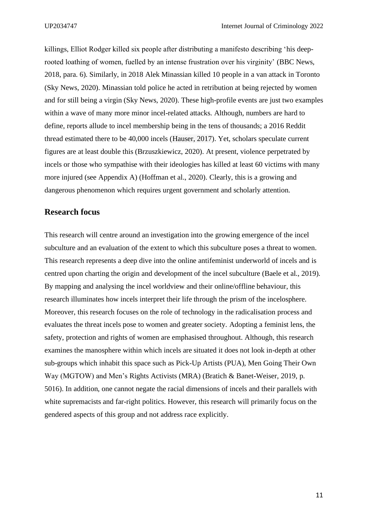killings, Elliot Rodger killed six people after distributing a manifesto describing 'his deeprooted loathing of women, fuelled by an intense frustration over his virginity' (BBC News, 2018, para. 6). Similarly, in 2018 Alek Minassian killed 10 people in a van attack in Toronto (Sky News, 2020). Minassian told police he acted in retribution at being rejected by women and for still being a virgin (Sky News, 2020). These high-profile events are just two examples within a wave of many more minor incel-related attacks. Although, numbers are hard to define, reports allude to incel membership being in the tens of thousands; a 2016 Reddit thread estimated there to be 40,000 incels (Hauser, 2017). Yet, scholars speculate current figures are at least double this (Brzuszkiewicz, 2020). At present, violence perpetrated by incels or those who sympathise with their ideologies has killed at least 60 victims with many more injured (see Appendix A) (Hoffman et al., 2020). Clearly, this is a growing and dangerous phenomenon which requires urgent government and scholarly attention.

## <span id="page-10-0"></span>**Research focus**

This research will centre around an investigation into the growing emergence of the incel subculture and an evaluation of the extent to which this subculture poses a threat to women. This research represents a deep dive into the online antifeminist underworld of incels and is centred upon charting the origin and development of the incel subculture (Baele et al., 2019). By mapping and analysing the incel worldview and their online/offline behaviour, this research illuminates how incels interpret their life through the prism of the incelosphere. Moreover, this research focuses on the role of technology in the radicalisation process and evaluates the threat incels pose to women and greater society. Adopting a feminist lens, the safety, protection and rights of women are emphasised throughout. Although, this research examines the manosphere within which incels are situated it does not look in-depth at other sub-groups which inhabit this space such as Pick-Up Artists (PUA), Men Going Their Own Way (MGTOW) and Men's Rights Activists (MRA) (Bratich & Banet-Weiser, 2019, p. 5016). In addition, one cannot negate the racial dimensions of incels and their parallels with white supremacists and far-right politics. However, this research will primarily focus on the gendered aspects of this group and not address race explicitly.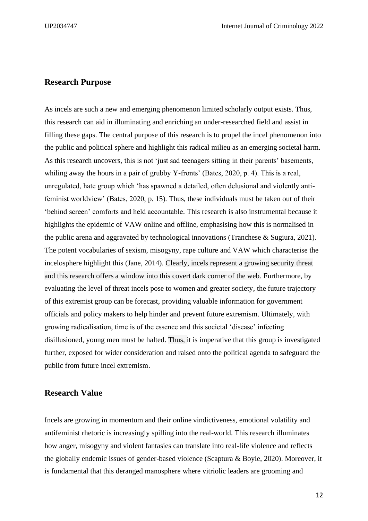#### <span id="page-11-0"></span>**Research Purpose**

As incels are such a new and emerging phenomenon limited scholarly output exists. Thus, this research can aid in illuminating and enriching an under-researched field and assist in filling these gaps. The central purpose of this research is to propel the incel phenomenon into the public and political sphere and highlight this radical milieu as an emerging societal harm. As this research uncovers, this is not 'just sad teenagers sitting in their parents' basements, whiling away the hours in a pair of grubby Y-fronts' (Bates, 2020, p. 4). This is a real, unregulated, hate group which 'has spawned a detailed, often delusional and violently antifeminist worldview' (Bates, 2020, p. 15). Thus, these individuals must be taken out of their 'behind screen' comforts and held accountable. This research is also instrumental because it highlights the epidemic of VAW online and offline, emphasising how this is normalised in the public arena and aggravated by technological innovations (Tranchese & Sugiura, 2021). The potent vocabularies of sexism, misogyny, rape culture and VAW which characterise the incelosphere highlight this (Jane, 2014). Clearly, incels represent a growing security threat and this research offers a window into this covert dark corner of the web. Furthermore, by evaluating the level of threat incels pose to women and greater society, the future trajectory of this extremist group can be forecast, providing valuable information for government officials and policy makers to help hinder and prevent future extremism. Ultimately, with growing radicalisation, time is of the essence and this societal 'disease' infecting disillusioned, young men must be halted. Thus, it is imperative that this group is investigated further, exposed for wider consideration and raised onto the political agenda to safeguard the public from future incel extremism.

#### <span id="page-11-1"></span>**Research Value**

Incels are growing in momentum and their online vindictiveness, emotional volatility and antifeminist rhetoric is increasingly spilling into the real-world. This research illuminates how anger, misogyny and violent fantasies can translate into real-life violence and reflects the globally endemic issues of gender-based violence (Scaptura & Boyle, 2020). Moreover, it is fundamental that this deranged manosphere where vitriolic leaders are grooming and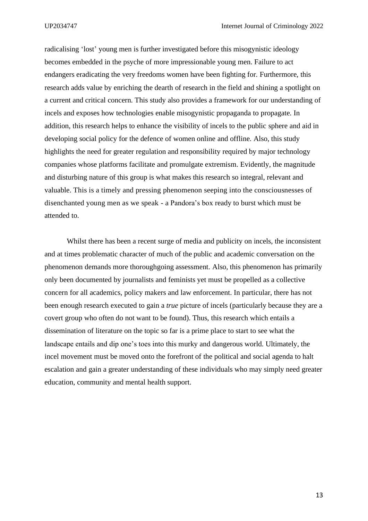radicalising 'lost' young men is further investigated before this misogynistic ideology becomes embedded in the psyche of more impressionable young men. Failure to act endangers eradicating the very freedoms women have been fighting for. Furthermore, this research adds value by enriching the dearth of research in the field and shining a spotlight on a current and critical concern. This study also provides a framework for our understanding of incels and exposes how technologies enable misogynistic propaganda to propagate. In addition, this research helps to enhance the visibility of incels to the public sphere and aid in developing social policy for the defence of women online and offline. Also, this study highlights the need for greater regulation and responsibility required by major technology companies whose platforms facilitate and promulgate extremism. Evidently, the magnitude and disturbing nature of this group is what makes this research so integral, relevant and valuable. This is a timely and pressing phenomenon seeping into the consciousnesses of disenchanted young men as we speak - a Pandora's box ready to burst which must be attended to.

Whilst there has been a recent surge of media and publicity on incels, the inconsistent and at times problematic character of much of the public and academic conversation on the phenomenon demands more thoroughgoing assessment. Also, this phenomenon has primarily only been documented by journalists and feminists yet must be propelled as a collective concern for all academics, policy makers and law enforcement. In particular, there has not been enough research executed to gain a *true* picture of incels (particularly because they are a covert group who often do not want to be found). Thus, this research which entails a dissemination of literature on the topic so far is a prime place to start to see what the landscape entails and dip one's toes into this murky and dangerous world. Ultimately, the incel movement must be moved onto the forefront of the political and social agenda to halt escalation and gain a greater understanding of these individuals who may simply need greater education, community and mental health support.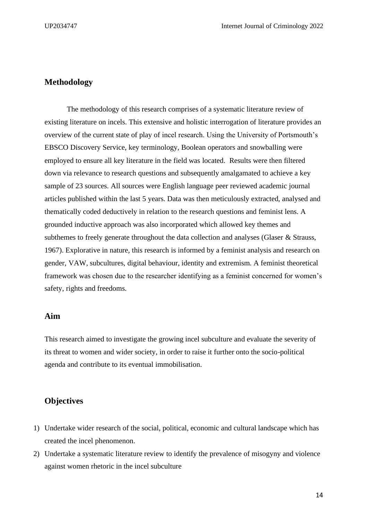## <span id="page-13-0"></span>**Methodology**

The methodology of this research comprises of a systematic literature review of existing literature on incels. This extensive and holistic interrogation of literature provides an overview of the current state of play of incel research. Using the University of Portsmouth's EBSCO Discovery Service, key terminology, Boolean operators and snowballing were employed to ensure all key literature in the field was located. Results were then filtered down via relevance to research questions and subsequently amalgamated to achieve a key sample of 23 sources. All sources were English language peer reviewed academic journal articles published within the last 5 years. Data was then meticulously extracted, analysed and thematically coded deductively in relation to the research questions and feminist lens. A grounded inductive approach was also incorporated which allowed key themes and subthemes to freely generate throughout the data collection and analyses (Glaser & Strauss, 1967). Explorative in nature, this research is informed by a feminist analysis and research on gender, VAW, subcultures, digital behaviour, identity and extremism. A feminist theoretical framework was chosen due to the researcher identifying as a feminist concerned for women's safety, rights and freedoms.

## <span id="page-13-1"></span>**Aim**

This research aimed to investigate the growing incel subculture and evaluate the severity of its threat to women and wider society, in order to raise it further onto the socio-political agenda and contribute to its eventual immobilisation.

## <span id="page-13-2"></span>**Objectives**

- 1) Undertake wider research of the social, political, economic and cultural landscape which has created the incel phenomenon.
- 2) Undertake a systematic literature review to identify the prevalence of misogyny and violence against women rhetoric in the incel subculture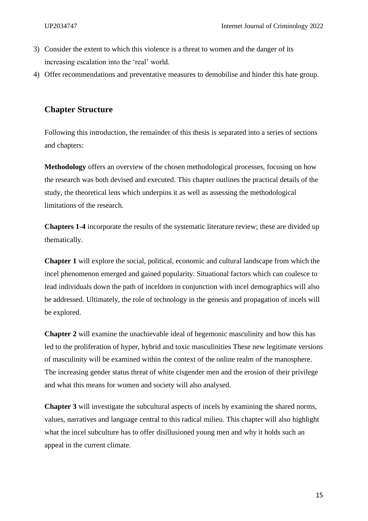- 3) Consider the extent to which this violence is a threat to women and the danger of its increasing escalation into the 'real' world.
- 4) Offer recommendations and preventative measures to demobilise and hinder this hate group.

## **Chapter Structure**

Following this introduction, the remainder of this thesis is separated into a series of sections and chapters:

**Methodology** offers an overview of the chosen methodological processes, focusing on how the research was both devised and executed. This chapter outlines the practical details of the study, the theoretical lens which underpins it as well as assessing the methodological limitations of the research.

**Chapters 1-4** incorporate the results of the systematic literature review; these are divided up thematically.

**Chapter 1** will explore the social, political, economic and cultural landscape from which the incel phenomenon emerged and gained popularity. Situational factors which can coalesce to lead individuals down the path of inceldom in conjunction with incel demographics will also be addressed. Ultimately, the role of technology in the genesis and propagation of incels will be explored.

**Chapter 2** will examine the unachievable ideal of hegemonic masculinity and how this has led to the proliferation of hyper, hybrid and toxic masculinities These new legitimate versions of masculinity will be examined within the context of the online realm of the manosphere. The increasing gender status threat of white cisgender men and the erosion of their privilege and what this means for women and society will also analysed.

**Chapter 3** will investigate the subcultural aspects of incels by examining the shared norms, values, narratives and language central to this radical milieu. This chapter will also highlight what the incel subculture has to offer disillusioned young men and why it holds such an appeal in the current climate.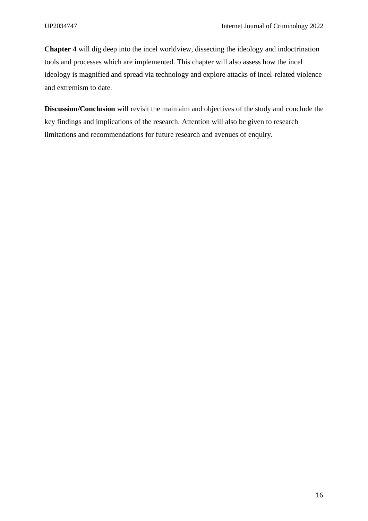**Chapter 4** will dig deep into the incel worldview, dissecting the ideology and indoctrination tools and processes which are implemented. This chapter will also assess how the incel ideology is magnified and spread via technology and explore attacks of incel-related violence and extremism to date.

**Discussion/Conclusion** will revisit the main aim and objectives of the study and conclude the key findings and implications of the research. Attention will also be given to research limitations and recommendations for future research and avenues of enquiry.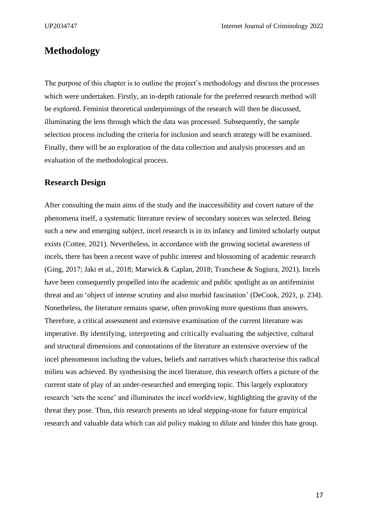## <span id="page-16-0"></span>**Methodology**

The purpose of this chapter is to outline the project's methodology and discuss the processes which were undertaken. Firstly, an in-depth rationale for the preferred research method will be explored. Feminist theoretical underpinnings of the research will then be discussed, illuminating the lens through which the data was processed. Subsequently, the sample selection process including the criteria for inclusion and search strategy will be examined. Finally, there will be an exploration of the data collection and analysis processes and an evaluation of the methodological process.

## <span id="page-16-1"></span>**Research Design**

After consulting the main aims of the study and the inaccessibility and covert nature of the phenomena itself, a systematic literature review of secondary sources was selected. Being such a new and emerging subject, incel research is in its infancy and limited scholarly output exists (Cottee, 2021). Nevertheless, in accordance with the growing societal awareness of incels, there has been a recent wave of public interest and blossoming of academic research (Ging, 2017; Jaki et al., 2018; Marwick & Caplan, 2018; Tranchese & Sugiura, 2021). Incels have been consequently propelled into the academic and public spotlight as an antifeminist threat and an 'object of intense scrutiny and also morbid fascination' (DeCook, 2021, p. 234). Nonetheless, the literature remains sparse, often provoking more questions than answers. Therefore, a critical assessment and extensive examination of the current literature was imperative. By identifying, interpreting and critically evaluating the subjective, cultural and structural dimensions and connotations of the literature an extensive overview of the incel phenomenon including the values, beliefs and narratives which characterise this radical milieu was achieved. By synthesising the incel literature, this research offers a picture of the current state of play of an under-researched and emerging topic. This largely exploratory research 'sets the scene' and illuminates the incel worldview, highlighting the gravity of the threat they pose. Thus, this research presents an ideal stepping-stone for future empirical research and valuable data which can aid policy making to dilute and hinder this hate group.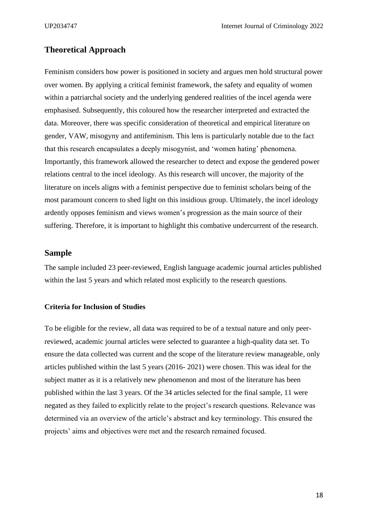## <span id="page-17-0"></span>**Theoretical Approach**

Feminism considers how power is positioned in society and argues men hold structural power over women. By applying a critical feminist framework, the safety and equality of women within a patriarchal society and the underlying gendered realities of the incel agenda were emphasised. Subsequently, this coloured how the researcher interpreted and extracted the data. Moreover, there was specific consideration of theoretical and empirical literature on gender, VAW, misogyny and antifeminism. This lens is particularly notable due to the fact that this research encapsulates a deeply misogynist, and 'women hating' phenomena. Importantly, this framework allowed the researcher to detect and expose the gendered power relations central to the incel ideology. As this research will uncover, the majority of the literature on incels aligns with a feminist perspective due to feminist scholars being of the most paramount concern to shed light on this insidious group. Ultimately, the incel ideology ardently opposes feminism and views women's progression as the main source of their suffering. Therefore, it is important to highlight this combative undercurrent of the research.

### <span id="page-17-1"></span>**Sample**

The sample included 23 peer-reviewed, English language academic journal articles published within the last 5 years and which related most explicitly to the research questions.

#### <span id="page-17-2"></span>**Criteria for Inclusion of Studies**

To be eligible for the review, all data was required to be of a textual nature and only peerreviewed, academic journal articles were selected to guarantee a high-quality data set. To ensure the data collected was current and the scope of the literature review manageable, only articles published within the last 5 years (2016- 2021) were chosen. This was ideal for the subject matter as it is a relatively new phenomenon and most of the literature has been published within the last 3 years. Of the 34 articles selected for the final sample, 11 were negated as they failed to explicitly relate to the project's research questions. Relevance was determined via an overview of the article's abstract and key terminology. This ensured the projects' aims and objectives were met and the research remained focused.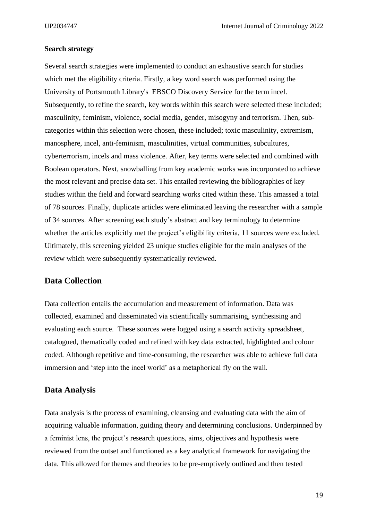#### <span id="page-18-0"></span>**Search strategy**

Several search strategies were implemented to conduct an exhaustive search for studies which met the eligibility criteria. Firstly, a key word search was performed using the University of Portsmouth Library's EBSCO [Discovery Service](http://eds.b.ebscohost.com/eds/search/basic?vid=0&sid=8d1d6bcc-f566-4efa-b304-550990b9f488%40pdc-v-sessmgr02) for the term incel. Subsequently, to refine the search, key words within this search were selected these included; masculinity, feminism, violence, social media, gender, misogyny and terrorism. Then, subcategories within this selection were chosen, these included; toxic [masculinity,](http://eds.b.ebscohost.com/eds/breadbox/clustersearch?cluster=DE%20%22toxic%20masculinity%22&sid=ac97b68a-0622-43c9-8e01-ac0235777329%40sessionmgr102&vid=13) [extremism,](http://eds.b.ebscohost.com/eds/breadbox/clustersearch?cluster=DE%20%22extremism%22&sid=ac97b68a-0622-43c9-8e01-ac0235777329%40sessionmgr102&vid=13) [manosphere,](http://eds.b.ebscohost.com/eds/breadbox/clustersearch?cluster=DE%20%22manosphere%22&sid=ac97b68a-0622-43c9-8e01-ac0235777329%40sessionmgr102&vid=13) [incel,](http://eds.b.ebscohost.com/eds/breadbox/clustersearch?cluster=DE%20%22incel%22&sid=ac97b68a-0622-43c9-8e01-ac0235777329%40sessionmgr102&vid=13) [anti-feminism,](http://eds.b.ebscohost.com/eds/breadbox/clustersearch?cluster=DE%20%22anti-feminism%22&sid=ac97b68a-0622-43c9-8e01-ac0235777329%40sessionmgr102&vid=13) [masculinities,](http://eds.b.ebscohost.com/eds/breadbox/clustersearch?cluster=DE%20%22masculinities%22&sid=ac97b68a-0622-43c9-8e01-ac0235777329%40sessionmgr102&vid=13) virtual [communities,](http://eds.b.ebscohost.com/eds/breadbox/clustersearch?cluster=DE%20%22virtual%20communities%22&sid=ac97b68a-0622-43c9-8e01-ac0235777329%40sessionmgr102&vid=13) [subcultures,](http://eds.b.ebscohost.com/eds/breadbox/clustersearch?cluster=DE%20%22subcultures%22&sid=ac97b68a-0622-43c9-8e01-ac0235777329%40sessionmgr102&vid=13) [cyberterrorism,](http://eds.b.ebscohost.com/eds/breadbox/clustersearch?cluster=DE%20%22cyberterrorism%22&sid=ac97b68a-0622-43c9-8e01-ac0235777329%40sessionmgr102&vid=13) [incels](http://eds.b.ebscohost.com/eds/breadbox/clustersearch?cluster=DE%20%22incels%22&sid=ac97b68a-0622-43c9-8e01-ac0235777329%40sessionmgr102&vid=13) and mass [violence.](http://eds.b.ebscohost.com/eds/breadbox/clustersearch?cluster=DE%20%22mass%20violence%22&sid=ac97b68a-0622-43c9-8e01-ac0235777329%40sessionmgr102&vid=13) After, key terms were selected and combined with Boolean operators. Next, snowballing from key academic works was incorporated to achieve the most relevant and precise data set. This entailed reviewing the bibliographies of key studies within the field and forward searching works cited within these. This amassed a total of 78 sources. Finally, duplicate articles were eliminated leaving the researcher with a sample of 34 sources. After screening each study's abstract and key terminology to determine whether the articles explicitly met the project's eligibility criteria, 11 sources were excluded. Ultimately, this screening yielded 23 unique studies eligible for the main analyses of the review which were subsequently systematically reviewed.

## <span id="page-18-1"></span>**Data Collection**

Data collection entails the accumulation and measurement of information. Data was collected, examined and disseminated via scientifically summarising, synthesising and evaluating each source. These sources were logged using a search activity spreadsheet, catalogued, thematically coded and refined with key data extracted, highlighted and colour coded. Although repetitive and time-consuming, the researcher was able to achieve full data immersion and 'step into the incel world' as a metaphorical fly on the wall.

## <span id="page-18-2"></span>**Data Analysis**

Data analysis is the process of examining, cleansing and evaluating data with the aim of acquiring valuable information, guiding theory and determining conclusions. Underpinned by a feminist lens, the project's research questions, aims, objectives and hypothesis were reviewed from the outset and functioned as a key analytical framework for navigating the data. This allowed for themes and theories to be pre-emptively outlined and then tested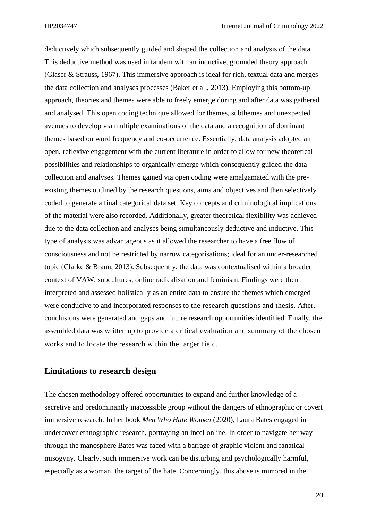deductively which subsequently guided and shaped the collection and analysis of the data. This deductive method was used in tandem with an inductive, grounded theory approach (Glaser & Strauss, 1967). This immersive approach is ideal for rich, textual data and merges the data collection and analyses processes (Baker et al., 2013). Employing this bottom-up approach, theories and themes were able to freely emerge during and after data was gathered and analysed. This open coding technique allowed for themes, subthemes and unexpected avenues to develop via multiple examinations of the data and a recognition of dominant themes based on word frequency and co-occurrence. Essentially, data analysis adopted an open, reflexive engagement with the current literature in order to allow for new theoretical possibilities and relationships to organically emerge which consequently guided the data collection and analyses. Themes gained via open coding were amalgamated with the preexisting themes outlined by the research questions, aims and objectives and then selectively coded to generate a final categorical data set. Key concepts and criminological implications of the material were also recorded. Additionally, greater theoretical flexibility was achieved due to the data collection and analyses being simultaneously deductive and inductive. This type of analysis was advantageous as it allowed the researcher to have a free flow of consciousness and not be restricted by narrow categorisations; ideal for an under-researched topic (Clarke & Braun, 2013). Subsequently, the data was contextualised within a broader context of VAW, subcultures, online radicalisation and feminism. Findings were then interpreted and assessed holistically as an entire data to ensure the themes which emerged were conducive to and incorporated responses to the research questions and thesis. After, conclusions were generated and gaps and future research opportunities identified. Finally, the assembled data was written up to provide a critical evaluation and summary of the chosen works and to locate the research within the larger field.

## <span id="page-19-0"></span>**Limitations to research design**

The chosen methodology offered opportunities to expand and further knowledge of a secretive and predominantly inaccessible group without the dangers of ethnographic or covert immersive research. In her book *Men Who Hate Women* (2020), Laura Bates engaged in undercover ethnographic research, portraying an incel online. In order to navigate her way through the manosphere Bates was faced with a barrage of graphic violent and fanatical misogyny. Clearly, such immersive work can be disturbing and psychologically harmful, especially as a woman, the target of the hate. Concerningly, this abuse is mirrored in the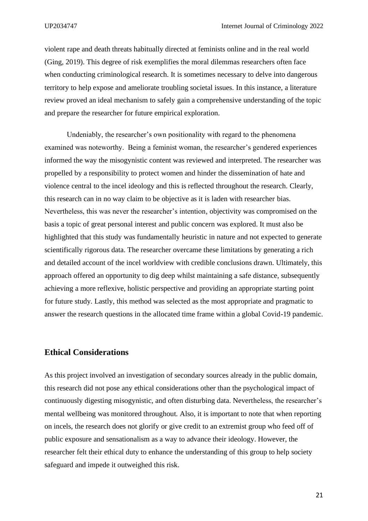violent rape and death threats habitually directed at feminists online and in the real world (Ging, 2019). This degree of risk exemplifies the moral dilemmas researchers often face when conducting criminological research. It is sometimes necessary to delve into dangerous territory to help expose and ameliorate troubling societal issues. In this instance, a literature review proved an ideal mechanism to safely gain a comprehensive understanding of the topic and prepare the researcher for future empirical exploration.

Undeniably, the researcher's own positionality with regard to the phenomena examined was noteworthy. Being a feminist woman, the researcher's gendered experiences informed the way the misogynistic content was reviewed and interpreted. The researcher was propelled by a responsibility to protect women and hinder the dissemination of hate and violence central to the incel ideology and this is reflected throughout the research. Clearly, this research can in no way claim to be objective as it is laden with researcher bias. Nevertheless, this was never the researcher's intention, objectivity was compromised on the basis a topic of great personal interest and public concern was explored. It must also be highlighted that this study was fundamentally heuristic in nature and not expected to generate scientifically rigorous data. The researcher overcame these limitations by generating a rich and detailed account of the incel worldview with credible conclusions drawn. Ultimately, this approach offered an opportunity to dig deep whilst maintaining a safe distance, subsequently achieving a more reflexive, holistic perspective and providing an appropriate starting point for future study. Lastly, this method was selected as the most appropriate and pragmatic to answer the research questions in the allocated time frame within a global Covid-19 pandemic.

## <span id="page-20-0"></span>**Ethical Considerations**

As this project involved an investigation of secondary sources already in the public domain, this research did not pose any ethical considerations other than the psychological impact of continuously digesting misogynistic, and often disturbing data. Nevertheless, the researcher's mental wellbeing was monitored throughout. Also, it is important to note that when reporting on incels, the research does not glorify or give credit to an extremist group who feed off of public exposure and sensationalism as a way to advance their ideology. However, the researcher felt their ethical duty to enhance the understanding of this group to help society safeguard and impede it outweighed this risk.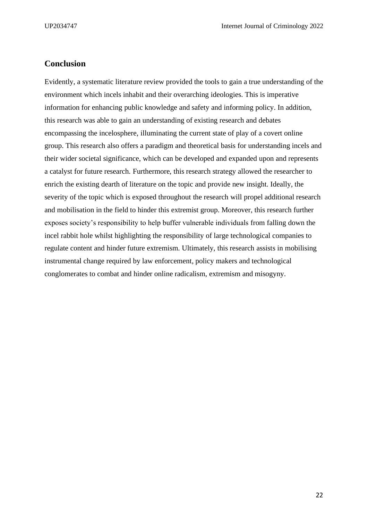## <span id="page-21-0"></span>**Conclusion**

Evidently, a systematic literature review provided the tools to gain a true understanding of the environment which incels inhabit and their overarching ideologies. This is imperative information for enhancing public knowledge and safety and informing policy. In addition, this research was able to gain an understanding of existing research and debates encompassing the incelosphere, illuminating the current state of play of a covert online group. This research also offers a paradigm and theoretical basis for understanding incels and their wider societal significance, which can be developed and expanded upon and represents a catalyst for future research. Furthermore, this research strategy allowed the researcher to enrich the existing dearth of literature on the topic and provide new insight. Ideally, the severity of the topic which is exposed throughout the research will propel additional research and mobilisation in the field to hinder this extremist group. Moreover, this research further exposes society's responsibility to help buffer vulnerable individuals from falling down the incel rabbit hole whilst highlighting the responsibility of large technological companies to regulate content and hinder future extremism. Ultimately, this research assists in mobilising instrumental change required by law enforcement, policy makers and technological conglomerates to combat and hinder online radicalism, extremism and misogyny.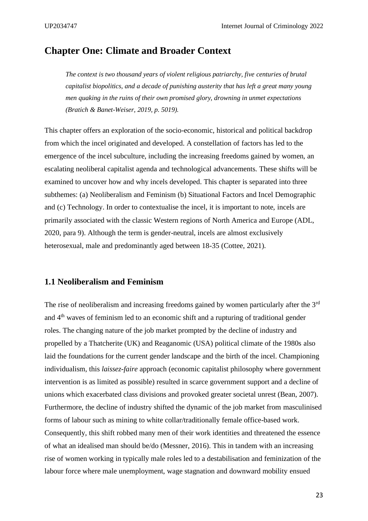## <span id="page-22-0"></span>**Chapter One: Climate and Broader Context**

*The context is two thousand years of violent religious patriarchy, five centuries of brutal capitalist biopolitics, and a decade of punishing austerity that has left a great many young men quaking in the ruins of their own promised glory, drowning in unmet expectations (Bratich & Banet-Weiser, 2019, p. 5019).*

This chapter offers an exploration of the socio-economic, historical and political backdrop from which the incel originated and developed. A constellation of factors has led to the emergence of the incel subculture, including the increasing freedoms gained by women, an escalating neoliberal capitalist agenda and technological advancements. These shifts will be examined to uncover how and why incels developed. This chapter is separated into three subthemes: (a) Neoliberalism and Feminism (b) Situational Factors and Incel Demographic and (c) Technology. In order to contextualise the incel, it is important to note, incels are primarily associated with the classic Western regions of North America and Europe (ADL, 2020, para 9). Although the term is gender-neutral, incels are almost exclusively heterosexual, male and predominantly aged between 18-35 (Cottee, 2021).

### <span id="page-22-1"></span>**1.1 Neoliberalism and Feminism**

The rise of neoliberalism and increasing freedoms gained by women particularly after the 3<sup>rd</sup> and 4th waves of feminism led to an economic shift and a rupturing of traditional gender roles. The changing nature of the job market prompted by the decline of industry and propelled by a Thatcherite (UK) and Reaganomic (USA) political climate of the 1980s also laid the foundations for the current gender landscape and the birth of the incel. Championing individualism, this *laissez-faire* approach (economic capitalist philosophy where government intervention is as limited as possible) resulted in scarce government support and a decline of unions which exacerbated class divisions and provoked greater societal unrest (Bean, 2007). Furthermore, the decline of industry shifted the dynamic of the job market from masculinised forms of labour such as mining to white collar/traditionally female office-based work. Consequently, this shift robbed many men of their work identities and threatened the essence of what an idealised man should be/do (Messner, 2016). This in tandem with an increasing rise of women working in typically male roles led to a destabilisation and feminization of the labour force where male unemployment, wage stagnation and downward mobility ensued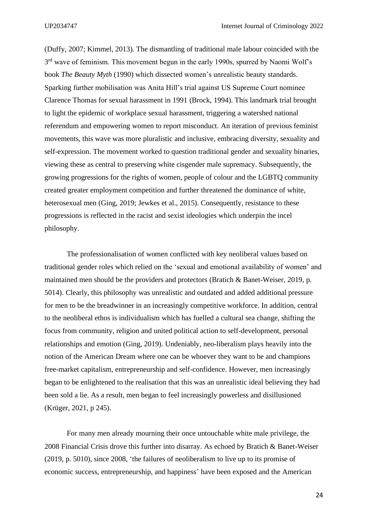(Duffy, 2007; Kimmel, 2013). The dismantling of traditional male labour coincided with the 3<sup>rd</sup> wave of feminism. This movement begun in the early 1990s, spurred by Naomi Wolf's book *The Beauty Myth* (1990) which dissected women's unrealistic beauty standards. Sparking further mobilisation was Anita Hill's trial against US Supreme Court nominee Clarence Thomas for sexual harassment in 1991 (Brock, 1994). This landmark trial brought to light the epidemic of workplace sexual harassment, triggering a watershed national referendum and empowering women to report misconduct. An iteration of previous feminist movements, this wave was more pluralistic and inclusive, embracing diversity, sexuality and self-expression. The movement worked to question traditional gender and sexuality binaries, viewing these as central to preserving white cisgender male supremacy. Subsequently, the growing progressions for the rights of women, people of colour and the LGBTQ community created greater employment competition and further threatened the dominance of white, heterosexual men (Ging, 2019; Jewkes et al., 2015). Consequently, resistance to these progressions is reflected in the racist and sexist ideologies which underpin the incel philosophy.

The professionalisation of women conflicted with key neoliberal values based on traditional gender roles which relied on the 'sexual and emotional availability of women' and maintained men should be the providers and protectors (Bratich & Banet-Weiser, 2019, p. 5014). Clearly, this philosophy was unrealistic and outdated and added additional pressure for men to be the breadwinner in an increasingly competitive workforce. In addition, central to the neoliberal ethos is individualism which has fuelled a cultural sea change, shifting the focus from community, religion and united political action to self-development, personal relationships and emotion (Ging, 2019). Undeniably, neo-liberalism plays heavily into the notion of the American Dream where one can be whoever they want to be and champions free-market capitalism, entrepreneurship and self-confidence. However, men increasingly began to be enlightened to the realisation that this was an unrealistic ideal believing they had been sold a lie. As a result, men began to feel increasingly powerless and disillusioned (Krüger, 2021, p 245).

For many men already mourning their once untouchable white male privilege, the 2008 Financial Crisis drove this further into disarray. As echoed by Bratich & Banet-Weiser (2019, p. 5010), since 2008, 'the failures of neoliberalism to live up to its promise of economic success, entrepreneurship, and happiness' have been exposed and the American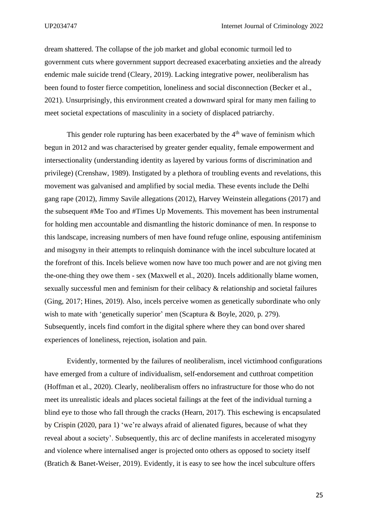dream shattered. The collapse of the job market and global economic turmoil led to government cuts where government support decreased exacerbating anxieties and the already endemic male suicide trend (Cleary, 2019). Lacking integrative power, neoliberalism has been found to foster fierce competition, loneliness and social disconnection (Becker et al., 2021). Unsurprisingly, this environment created a downward spiral for many men failing to meet societal expectations of masculinity in a society of displaced patriarchy.

This gender role rupturing has been exacerbated by the  $4<sup>th</sup>$  wave of feminism which begun in 2012 and was characterised by greater gender equality, female empowerment and intersectionality (understanding identity as layered by various forms of discrimination and privilege) (Crenshaw, 1989). Instigated by a plethora of troubling events and revelations, this movement was galvanised and amplified by social media. These events include the Delhi gang rape (2012), Jimmy Savile allegations (2012), Harvey Weinstein allegations (2017) and the subsequent #Me Too and #Times Up Movements. This movement has been instrumental for holding men accountable and dismantling the historic dominance of men. In response to this landscape, increasing numbers of men have found refuge online, espousing antifeminism and misogyny in their attempts to relinquish dominance with the incel subculture located at the forefront of this. Incels believe women now have too much power and are not giving men the-one-thing they owe them - sex (Maxwell et al., 2020). Incels additionally blame women, sexually successful men and feminism for their celibacy & relationship and societal failures (Ging, 2017; Hines, 2019). Also, incels perceive women as genetically subordinate who only wish to mate with 'genetically superior' men (Scaptura & Boyle, 2020, p. 279). Subsequently, incels find comfort in the digital sphere where they can bond over shared experiences of loneliness, rejection, isolation and pain.

Evidently, tormented by the failures of neoliberalism, incel victimhood configurations have emerged from a culture of individualism, self-endorsement and cutthroat competition (Hoffman et al., 2020). Clearly, neoliberalism offers no infrastructure for those who do not meet its unrealistic ideals and places societal failings at the feet of the individual turning a blind eye to those who fall through the cracks (Hearn, 2017). This eschewing is encapsulated by Crispin (2020, para 1) 'we're always afraid of alienated figures, because of what they reveal about a society'. Subsequently, this arc of decline manifests in accelerated misogyny and violence where internalised anger is projected onto others as opposed to society itself (Bratich & Banet-Weiser, 2019). Evidently, it is easy to see how the incel subculture offers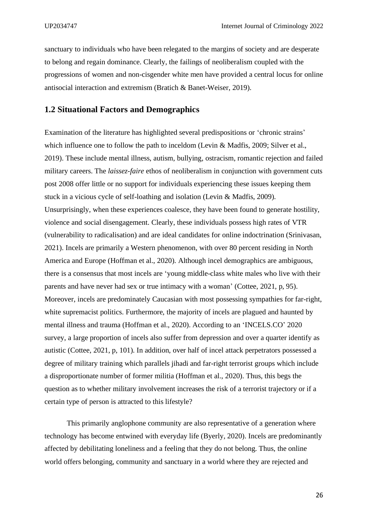sanctuary to individuals who have been relegated to the margins of society and are desperate to belong and regain dominance. Clearly, the failings of neoliberalism coupled with the progressions of women and non-cisgender white men have provided a central locus for online antisocial interaction and extremism (Bratich & Banet-Weiser, 2019).

## <span id="page-25-0"></span>**1.2 Situational Factors and Demographics**

Examination of the literature has highlighted several predispositions or 'chronic strains' which influence one to follow the path to inceldom (Levin & Madfis, 2009; Silver et al., 2019). These include mental illness, autism, bullying, ostracism, romantic rejection and failed military careers. The *laissez-faire* ethos of neoliberalism in conjunction with government cuts post 2008 offer little or no support for individuals experiencing these issues keeping them stuck in a vicious cycle of self-loathing and isolation (Levin & Madfis, 2009). Unsurprisingly, when these experiences coalesce, they have been found to generate hostility, violence and social disengagement. Clearly, these individuals possess high rates of VTR (vulnerability to radicalisation) and are ideal candidates for online indoctrination (Srinivasan, 2021). Incels are primarily a Western phenomenon, with over 80 percent residing in North America and Europe (Hoffman et al., 2020). Although incel demographics are ambiguous, there is a consensus that most incels are 'young middle-class white males who live with their parents and have never had sex or true intimacy with a woman' (Cottee, 2021, p, 95). Moreover, incels are predominately Caucasian with most possessing sympathies for far-right, white supremacist politics. Furthermore, the majority of incels are plagued and haunted by mental illness and trauma (Hoffman et al., 2020). According to an 'INCELS.CO' 2020 survey, a large proportion of incels also suffer from depression and over a quarter identify as autistic (Cottee, 2021, p, 101). In addition, over half of incel attack perpetrators possessed a degree of military training which parallels jihadi and far-right terrorist groups which include a disproportionate number of former militia (Hoffman et al., 2020). Thus, this begs the question as to whether military involvement increases the risk of a terrorist trajectory or if a certain type of person is attracted to this lifestyle?

This primarily anglophone community are also representative of a generation where technology has become entwined with everyday life (Byerly, 2020). Incels are predominantly affected by debilitating loneliness and a feeling that they do not belong. Thus, the online world offers belonging, community and sanctuary in a world where they are rejected and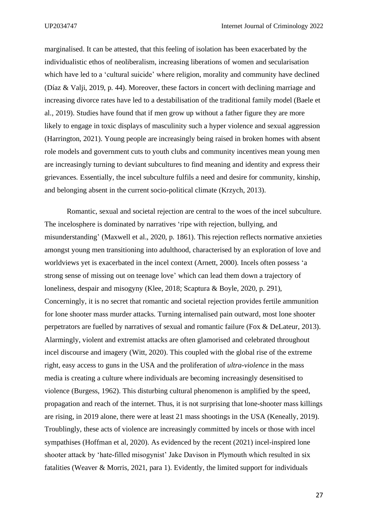marginalised. It can be attested, that this feeling of isolation has been exacerbated by the individualistic ethos of neoliberalism, increasing liberations of women and secularisation which have led to a 'cultural suicide' where religion, morality and community have declined (Díaz & Valji, 2019, p. 44). Moreover, these factors in concert with declining marriage and increasing divorce rates have led to a destabilisation of the traditional family model (Baele et al., 2019). Studies have found that if men grow up without a father figure they are more likely to engage in toxic displays of masculinity such a hyper violence and sexual aggression (Harrington, 2021). Young people are increasingly being raised in broken homes with absent role models and government cuts to youth clubs and community incentives mean young men are increasingly turning to deviant subcultures to find meaning and identity and express their grievances. Essentially, the incel subculture fulfils a need and desire for community, kinship, and belonging absent in the current socio-political climate (Krzych, 2013).

Romantic, sexual and societal rejection are central to the woes of the incel subculture. The incelosphere is dominated by narratives 'ripe with rejection, bullying, and misunderstanding' (Maxwell et al., 2020, p. 1861). This rejection reflects normative anxieties amongst young men transitioning into adulthood, characterised by an exploration of love and worldviews yet is exacerbated in the incel context (Arnett, 2000). Incels often possess 'a strong sense of missing out on teenage love' which can lead them down a trajectory of loneliness, despair and misogyny (Klee, 2018; Scaptura & Boyle, 2020, p. 291), Concerningly, it is no secret that romantic and societal rejection provides fertile ammunition for lone shooter mass murder attacks. Turning internalised pain outward, most lone shooter perpetrators are fuelled by narratives of sexual and romantic failure (Fox & DeLateur, 2013). Alarmingly, violent and extremist attacks are often glamorised and celebrated throughout incel discourse and imagery (Witt, 2020). This coupled with the global rise of the extreme right, easy access to guns in the USA and the proliferation of *ultra-violence* in the mass media is creating a culture where individuals are becoming increasingly desensitised to violence (Burgess, 1962). This disturbing cultural phenomenon is amplified by the speed, propagation and reach of the internet. Thus, it is not surprising that lone-shooter mass killings are rising, in 2019 alone, there were at least 21 mass shootings in the USA (Keneally, 2019). Troublingly, these acts of violence are increasingly committed by incels or those with incel sympathises (Hoffman et al, 2020). As evidenced by the recent (2021) incel-inspired lone shooter attack by 'hate-filled misogynist' Jake Davison in Plymouth which resulted in six fatalities (Weaver & Morris, 2021, para 1). Evidently, the limited support for individuals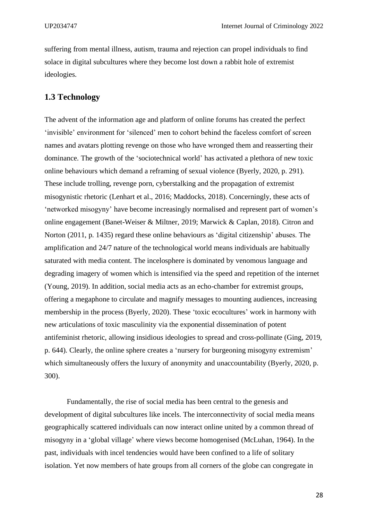suffering from mental illness, autism, trauma and rejection can propel individuals to find solace in digital subcultures where they become lost down a rabbit hole of extremist ideologies.

## <span id="page-27-0"></span>**1.3 Technology**

The advent of the information age and platform of online forums has created the perfect 'invisible' environment for 'silenced' men to cohort behind the faceless comfort of screen names and avatars plotting revenge on those who have wronged them and reasserting their dominance. The growth of the 'sociotechnical world' has activated a plethora of new toxic online behaviours which demand a reframing of sexual violence (Byerly, 2020, p. 291). These include trolling, revenge porn, cyberstalking and the propagation of extremist misogynistic rhetoric (Lenhart et al., 2016; Maddocks, 2018). Concerningly, these acts of 'networked misogyny' have become increasingly normalised and represent part of women's online engagement (Banet-Weiser & Miltner, 2019; Marwick & Caplan, 2018). Citron and Norton (2011, p. 1435) regard these online behaviours as 'digital citizenship' abuses. The amplification and 24/7 nature of the technological world means individuals are habitually saturated with media content. The incelosphere is dominated by venomous language and degrading imagery of women which is intensified via the speed and repetition of the internet (Young, 2019). In addition, social media acts as an echo-chamber for extremist groups, offering a megaphone to circulate and magnify messages to mounting audiences, increasing membership in the process (Byerly, 2020). These 'toxic ecocultures' work in harmony with new articulations of toxic masculinity via the exponential dissemination of potent antifeminist rhetoric, allowing insidious ideologies to spread and cross-pollinate (Ging, 2019, p. 644). Clearly, the online sphere creates a 'nursery for burgeoning misogyny extremism' which simultaneously offers the luxury of anonymity and unaccountability (Byerly, 2020, p. 300).

Fundamentally, the rise of social media has been central to the genesis and development of digital subcultures like incels. The interconnectivity of social media means geographically scattered individuals can now interact online united by a common thread of misogyny in a 'global village' where views become homogenised (McLuhan, 1964). In the past, individuals with incel tendencies would have been confined to a life of solitary isolation. Yet now members of hate groups from all corners of the globe can congregate in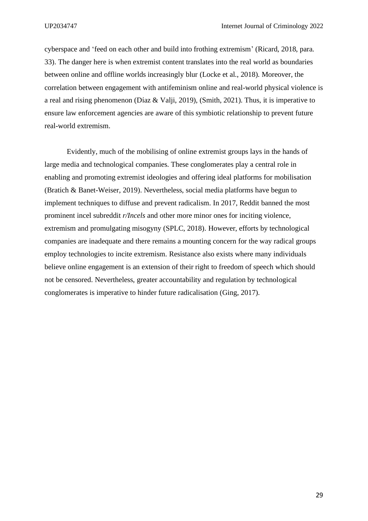cyberspace and 'feed on each other and build into frothing extremism' (Ricard, 2018, para. 33). The danger here is when extremist content translates into the real world as boundaries between online and offline worlds increasingly blur (Locke et al., 2018). Moreover, the correlation between engagement with antifeminism online and real-world physical violence is a real and rising phenomenon (Díaz & Valji, 2019), (Smith, 2021). Thus, it is imperative to ensure law enforcement agencies are aware of this symbiotic relationship to prevent future real-world extremism.

Evidently, much of the mobilising of online extremist groups lays in the hands of large media and technological companies. These conglomerates play a central role in enabling and promoting extremist ideologies and offering ideal platforms for mobilisation (Bratich & Banet-Weiser, 2019). Nevertheless, social media platforms have begun to implement techniques to diffuse and prevent radicalism. In 2017, Reddit banned the most prominent incel subreddit *r/Incels* and other more minor ones for inciting violence, extremism and promulgating misogyny (SPLC, 2018). However, efforts by technological companies are inadequate and there remains a mounting concern for the way radical groups employ technologies to incite extremism. Resistance also exists where many individuals believe online engagement is an extension of their right to freedom of speech which should not be censored. Nevertheless, greater accountability and regulation by technological conglomerates is imperative to hinder future radicalisation (Ging, 2017).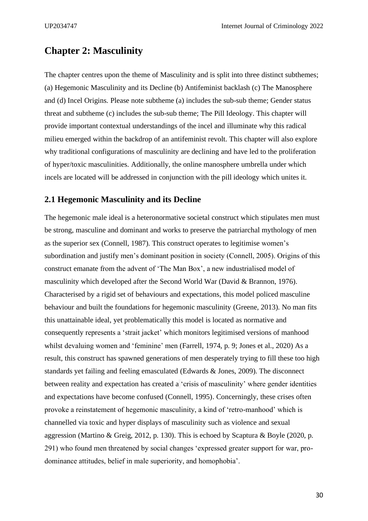## <span id="page-29-0"></span>**Chapter 2: Masculinity**

The chapter centres upon the theme of Masculinity and is split into three distinct subthemes; (a) Hegemonic Masculinity and its Decline (b) Antifeminist backlash (c) The Manosphere and (d) Incel Origins. Please note subtheme (a) includes the sub-sub theme; Gender status threat and subtheme (c) includes the sub-sub theme; The Pill Ideology. This chapter will provide important contextual understandings of the incel and illuminate why this radical milieu emerged within the backdrop of an antifeminist revolt. This chapter will also explore why traditional configurations of masculinity are declining and have led to the proliferation of hyper/toxic masculinities. Additionally, the online manosphere umbrella under which incels are located will be addressed in conjunction with the pill ideology which unites it.

### <span id="page-29-1"></span>**2.1 Hegemonic Masculinity and its Decline**

The hegemonic male ideal is a heteronormative societal construct which stipulates men must be strong, masculine and dominant and works to preserve the patriarchal mythology of men as the superior sex (Connell, 1987). This construct operates to legitimise women's subordination and justify men's dominant position in society (Connell, 2005). Origins of this construct emanate from the advent of 'The Man Box', a new industrialised model of masculinity which developed after the Second World War (David & Brannon, 1976). Characterised by a rigid set of behaviours and expectations, this model policed masculine behaviour and built the foundations for hegemonic masculinity (Greene, 2013). No man fits this unattainable ideal, yet problematically this model is located as normative and consequently represents a 'strait jacket' which monitors legitimised versions of manhood whilst devaluing women and 'feminine' men (Farrell, 1974, p. 9; Jones et al., 2020) As a result, this construct has spawned generations of men desperately trying to fill these too high standards yet failing and feeling emasculated (Edwards & Jones, 2009). The disconnect between reality and expectation has created a 'crisis of masculinity' where gender identities and expectations have become confused (Connell, 1995). Concerningly, these crises often provoke a reinstatement of hegemonic masculinity, a kind of 'retro-manhood' which is channelled via toxic and hyper displays of masculinity such as violence and sexual aggression (Martino & Greig, 2012, p. 130). This is echoed by Scaptura & Boyle (2020, p. 291) who found men threatened by social changes 'expressed greater support for war, prodominance attitudes, belief in male superiority, and homophobia'.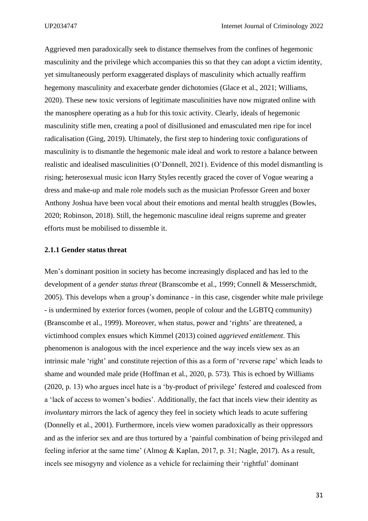Aggrieved men paradoxically seek to distance themselves from the confines of hegemonic masculinity and the privilege which accompanies this so that they can adopt a victim identity, yet simultaneously perform exaggerated displays of masculinity which actually reaffirm hegemony masculinity and exacerbate gender dichotomies (Glace et al., 2021; Williams, 2020). These new toxic versions of legitimate masculinities have now migrated online with the manosphere operating as a hub for this toxic activity. Clearly, ideals of hegemonic masculinity stifle men, creating a pool of disillusioned and emasculated men ripe for incel radicalisation (Ging, 2019). Ultimately, the first step to hindering toxic configurations of masculinity is to dismantle the hegemonic male ideal and work to restore a balance between realistic and idealised masculinities (O'Donnell, 2021). Evidence of this model dismantling is rising; heterosexual music icon Harry Styles recently graced the cover of Vogue wearing a dress and make-up and male role models such as the musician Professor Green and boxer Anthony Joshua have been vocal about their emotions and mental health struggles (Bowles, 2020; Robinson, 2018). Still, the hegemonic masculine ideal reigns supreme and greater efforts must be mobilised to dissemble it.

#### <span id="page-30-0"></span>**2.1.1 Gender status threat**

Men's dominant position in society has become increasingly displaced and has led to the development of a *gender status threat* (Branscombe et al., 1999; Connell & Messerschmidt, 2005). This develops when a group's dominance - in this case, cisgender white male privilege - is undermined by exterior forces (women, people of colour and the LGBTQ community) (Branscombe et al., 1999). Moreover, when status, power and 'rights' are threatened, a victimhood complex ensues which Kimmel (2013) coined *aggrieved entitlement*. This phenomenon is analogous with the incel experience and the way incels view sex as an intrinsic male 'right' and constitute rejection of this as a form of 'reverse rape' which leads to shame and wounded male pride (Hoffman et al., 2020, p. 573). This is echoed by Williams (2020, p. 13) who argues incel hate is a 'by-product of privilege' festered and coalesced from a 'lack of access to women's bodies'. Additionally, the fact that incels view their identity as *involuntary* mirrors the lack of agency they feel in society which leads to acute suffering (Donnelly et al., 2001). Furthermore, incels view women paradoxically as their oppressors and as the inferior sex and are thus tortured by a 'painful combination of being privileged and feeling inferior at the same time' (Almog & Kaplan, 2017, p. 31; Nagle, 2017). As a result, incels see misogyny and violence as a vehicle for reclaiming their 'rightful' dominant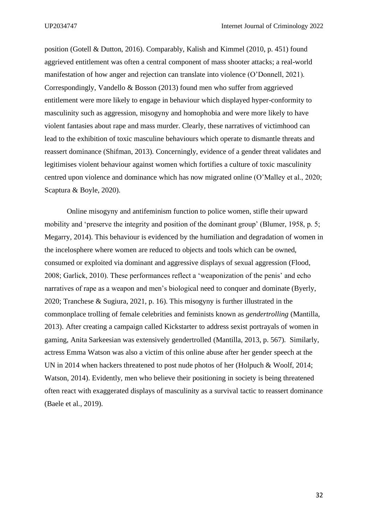position (Gotell & Dutton, 2016). Comparably, Kalish and Kimmel (2010, p. 451) found aggrieved entitlement was often a central component of mass shooter attacks; a real-world manifestation of how anger and rejection can translate into violence (O'Donnell, 2021). Correspondingly, Vandello & Bosson (2013) found men who suffer from aggrieved entitlement were more likely to engage in behaviour which displayed hyper-conformity to masculinity such as aggression, misogyny and homophobia and were more likely to have violent fantasies about rape and mass murder. Clearly, these narratives of victimhood can lead to the exhibition of toxic masculine behaviours which operate to dismantle threats and reassert dominance (Shifman, 2013). Concerningly, evidence of a gender threat validates and legitimises violent behaviour against women which fortifies a culture of toxic masculinity centred upon violence and dominance which has now migrated online (O'Malley et al., 2020; Scaptura & Boyle, 2020).

Online misogyny and antifeminism function to police women, stifle their upward mobility and 'preserve the integrity and position of the dominant group' (Blumer, 1958, p. 5; Megarry, 2014). This behaviour is evidenced by the humiliation and degradation of women in the incelosphere where women are reduced to objects and tools which can be owned, consumed or exploited via dominant and aggressive displays of sexual aggression (Flood, 2008; Garlick, 2010). These performances reflect a 'weaponization of the penis' and echo narratives of rape as a weapon and men's biological need to conquer and dominate (Byerly, 2020; Tranchese & Sugiura, 2021, p. 16). This misogyny is further illustrated in the commonplace trolling of female celebrities and feminists known as *gendertrolling* (Mantilla, 2013). After creating a campaign called Kickstarter to address sexist portrayals of women in gaming, Anita Sarkeesian was extensively gendertrolled (Mantilla, 2013, p. 567). Similarly, actress Emma Watson was also a victim of this online abuse after her gender speech at the UN in 2014 when hackers threatened to post nude photos of her (Holpuch & Woolf, 2014; Watson, 2014). Evidently, men who believe their positioning in society is being threatened often react with exaggerated displays of masculinity as a survival tactic to reassert dominance (Baele et al., 2019).

32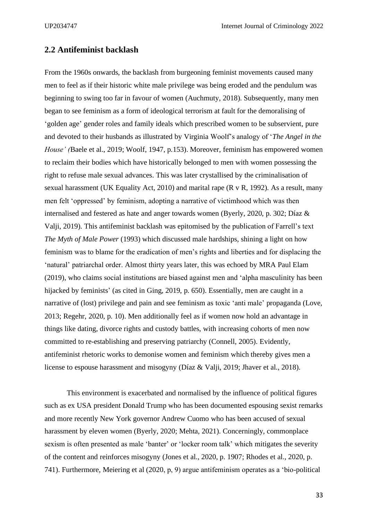## <span id="page-32-0"></span>**2.2 Antifeminist backlash**

From the 1960s onwards, the backlash from burgeoning feminist movements caused many men to feel as if their historic white male privilege was being eroded and the pendulum was beginning to swing too far in favour of women (Auchmuty, 2018). Subsequently, many men began to see feminism as a form of ideological terrorism at fault for the demoralising of 'golden age' gender roles and family ideals which prescribed women to be subservient, pure and devoted to their husbands as illustrated by Virginia Woolf's analogy of '*The Angel in the House' (*Baele et al., 2019; Woolf, 1947, p.153). Moreover, feminism has empowered women to reclaim their bodies which have historically belonged to men with women possessing the right to refuse male sexual advances. This was later crystallised by the criminalisation of sexual harassment (UK Equality Act, 2010) and marital rape (R v R, 1992). As a result, many men felt 'oppressed' by feminism, adopting a narrative of victimhood which was then internalised and festered as hate and anger towards women (Byerly, 2020, p. 302; Díaz & Valji, 2019). This antifeminist backlash was epitomised by the publication of Farrell's text *The Myth of Male Power* (1993) which discussed male hardships, shining a light on how feminism was to blame for the eradication of men's rights and liberties and for displacing the 'natural' patriarchal order. Almost thirty years later, this was echoed by MRA Paul Elam (2019), who claims social institutions are biased against men and 'alpha masculinity has been hijacked by feminists' (as cited in Ging, 2019, p. 650). Essentially, men are caught in a narrative of (lost) privilege and pain and see feminism as toxic 'anti male' propaganda (Love, 2013; Regehr, 2020, p. 10). Men additionally feel as if women now hold an advantage in things like dating, divorce rights and custody battles, with increasing cohorts of men now committed to re-establishing and preserving patriarchy (Connell, 2005). Evidently, antifeminist rhetoric works to demonise women and feminism which thereby gives men a license to espouse harassment and misogyny (Díaz & Valji, 2019; Jhaver et al., 2018).

This environment is exacerbated and normalised by the influence of political figures such as ex USA president Donald Trump who has been documented espousing sexist remarks and more recently New York governor Andrew Cuomo who has been accused of sexual harassment by eleven women (Byerly, 2020; Mehta, 2021). Concerningly, commonplace sexism is often presented as male 'banter' or 'locker room talk' which mitigates the severity of the content and reinforces misogyny (Jones et al., 2020, p. 1907; Rhodes et al., 2020, p. 741). Furthermore, Meiering et al (2020, p, 9) argue antifeminism operates as a 'bio-political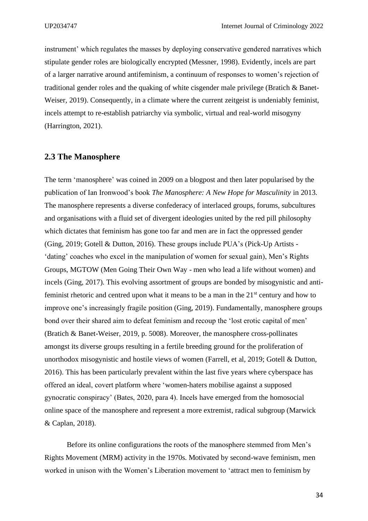instrument' which regulates the masses by deploying conservative gendered narratives which stipulate gender roles are biologically encrypted (Messner, 1998). Evidently, incels are part of a larger narrative around antifeminism, a continuum of responses to women's rejection of traditional gender roles and the quaking of white cisgender male privilege (Bratich & Banet-Weiser, 2019). Consequently, in a climate where the current zeitgeist is undeniably feminist, incels attempt to re-establish patriarchy via symbolic, virtual and real-world misogyny (Harrington, 2021).

## <span id="page-33-0"></span>**2.3 The Manosphere**

The term 'manosphere' was coined in 2009 on a blogpost and then later popularised by the publication of Ian Ironwood's book *The Manosphere: A New Hope for Masculinity* in 2013. The manosphere represents a diverse confederacy of interlaced groups, forums, subcultures and organisations with a fluid set of divergent ideologies united by the red pill philosophy which dictates that feminism has gone too far and men are in fact the oppressed gender (Ging, 2019; Gotell & Dutton, 2016). These groups include PUA's (Pick-Up Artists - 'dating' coaches who excel in the manipulation of women for sexual gain), Men's Rights Groups, MGTOW (Men Going Their Own Way - men who lead a life without women) and incels (Ging, 2017). This evolving assortment of groups are bonded by misogynistic and antifeminist rhetoric and centred upon what it means to be a man in the  $21<sup>st</sup>$  century and how to improve one's increasingly fragile position (Ging, 2019). Fundamentally, manosphere groups bond over their shared aim to defeat feminism and recoup the 'lost erotic capital of men' (Bratich & Banet-Weiser, 2019, p. 5008). Moreover, the manosphere cross-pollinates amongst its diverse groups resulting in a fertile breeding ground for the proliferation of unorthodox misogynistic and hostile views of women (Farrell, et al, 2019; Gotell & Dutton, 2016). This has been particularly prevalent within the last five years where cyberspace has offered an ideal, covert platform where 'women-haters mobilise against a supposed gynocratic conspiracy' (Bates, 2020, para 4). Incels have emerged from the homosocial online space of the manosphere and represent a more extremist, radical subgroup (Marwick & Caplan, 2018).

Before its online configurations the roots of the manosphere stemmed from Men's Rights Movement (MRM) activity in the 1970s. Motivated by second-wave feminism, men worked in unison with the Women's Liberation movement to 'attract men to feminism by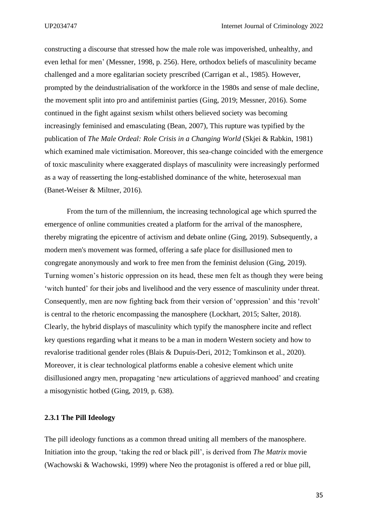constructing a discourse that stressed how the male role was impoverished, unhealthy, and even lethal for men' (Messner, 1998, p. 256). Here, orthodox beliefs of masculinity became challenged and a more egalitarian society prescribed (Carrigan et al., 1985). However, prompted by the deindustrialisation of the workforce in the 1980s and sense of male decline, the movement split into pro and antifeminist parties (Ging, 2019; Messner, 2016). Some continued in the fight against sexism whilst others believed society was becoming increasingly feminised and emasculating (Bean, 2007), This rupture was typified by the publication of *The Male Ordeal: Role Crisis in a Changing World* (Skjei & Rabkin, 1981) which examined male victimisation. Moreover, this sea-change coincided with the emergence of toxic masculinity where exaggerated displays of masculinity were increasingly performed as a way of reasserting the long-established dominance of the white, heterosexual man (Banet-Weiser & Miltner, 2016).

From the turn of the millennium, the increasing technological age which spurred the emergence of online communities created a platform for the arrival of the manosphere, thereby migrating the epicentre of activism and debate online (Ging, 2019). Subsequently, a modern men's movement was formed, offering a safe place for disillusioned men to congregate anonymously and work to free men from the feminist delusion (Ging, 2019). Turning women's historic oppression on its head, these men felt as though they were being 'witch hunted' for their jobs and livelihood and the very essence of masculinity under threat. Consequently, men are now fighting back from their version of 'oppression' and this 'revolt' is central to the rhetoric encompassing the manosphere (Lockhart, 2015; Salter, 2018). Clearly, the hybrid displays of masculinity which typify the manosphere incite and reflect key questions regarding what it means to be a man in modern Western society and how to revalorise traditional gender roles (Blais & Dupuis-Deri, 2012; Tomkinson et al., 2020). Moreover, it is clear technological platforms enable a cohesive element which unite disillusioned angry men, propagating 'new articulations of aggrieved manhood' and creating a misogynistic hotbed (Ging, 2019, p. 638).

#### <span id="page-34-0"></span>**2.3.1 The Pill Ideology**

The pill ideology functions as a common thread uniting all members of the manosphere. Initiation into the group, 'taking the red or black pill', is derived from *The Matrix* movie (Wachowski & Wachowski, 1999) where Neo the protagonist is offered a red or blue pill,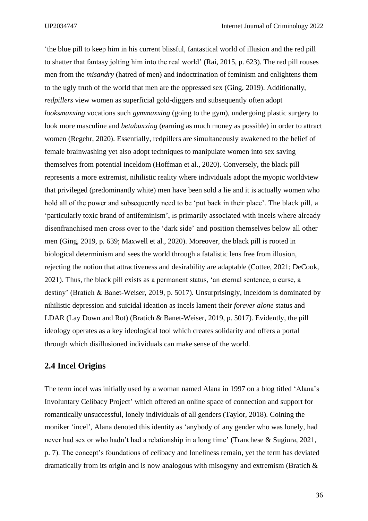'the blue pill to keep him in his current blissful, fantastical world of illusion and the red pill to shatter that fantasy jolting him into the real world' (Rai, 2015, p. 623). The red pill rouses men from the *misandry* (hatred of men) and indoctrination of feminism and enlightens them to the ugly truth of the world that men are the oppressed sex (Ging, 2019). Additionally, *redpillers* view women as superficial gold-diggers and subsequently often adopt *looksmaxxing* vocations such *gymmaxxing* (going to the gym), undergoing plastic surgery to look more masculine and *betabuxxing* (earning as much money as possible) in order to attract women (Regehr, 2020). Essentially, redpillers are simultaneously awakened to the belief of female brainwashing yet also adopt techniques to manipulate women into sex saving themselves from potential inceldom (Hoffman et al., 2020). Conversely, the black pill represents a more extremist, nihilistic reality where individuals adopt the myopic worldview that privileged (predominantly white) men have been sold a lie and it is actually women who hold all of the power and subsequently need to be 'put back in their place'. The black pill, a 'particularly toxic brand of antifeminism', is primarily associated with incels where already disenfranchised men cross over to the 'dark side' and position themselves below all other men (Ging, 2019, p. 639; Maxwell et al., 2020). Moreover, the black pill is rooted in biological determinism and sees the world through a fatalistic lens free from illusion, rejecting the notion that attractiveness and desirability are adaptable (Cottee, 2021; DeCook, 2021). Thus, the black pill exists as a permanent status, 'an eternal sentence, a curse, a destiny' (Bratich & Banet-Weiser, 2019, p. 5017). Unsurprisingly, inceldom is dominated by nihilistic depression and suicidal ideation as incels lament their *forever alone* status and LDAR (Lay Down and Rot) (Bratich & Banet-Weiser, 2019, p. 5017). Evidently, the pill ideology operates as a key ideological tool which creates solidarity and offers a portal through which disillusioned individuals can make sense of the world.

## <span id="page-35-0"></span>**2.4 Incel Origins**

The term incel was initially used by a woman named Alana in 1997 on a blog titled 'Alana's Involuntary Celibacy Project' which offered an online space of connection and support for romantically unsuccessful, lonely individuals of all genders (Taylor, 2018). Coining the moniker 'incel', Alana denoted this identity as 'anybody of any gender who was lonely, had never had sex or who hadn't had a relationship in a long time' (Tranchese & Sugiura, 2021, p. 7). The concept's foundations of celibacy and loneliness remain, yet the term has deviated dramatically from its origin and is now analogous with misogyny and extremism (Bratich  $\&$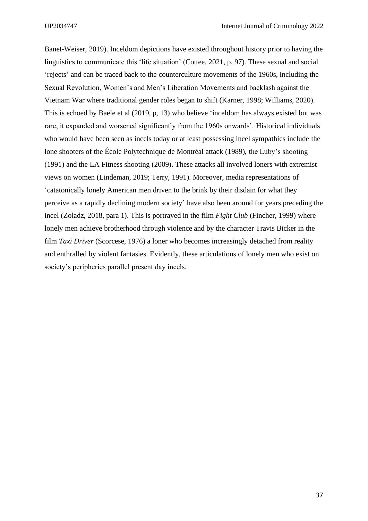Banet-Weiser, 2019). Inceldom depictions have existed throughout history prior to having the linguistics to communicate this 'life situation' (Cottee, 2021, p, 97). These sexual and social 'rejects' and can be traced back to the counterculture movements of the 1960s, including the Sexual Revolution, Women's and Men's Liberation Movements and backlash against the Vietnam War where traditional gender roles began to shift (Karner, 1998; Williams, 2020). This is echoed by Baele et al (2019, p, 13) who believe 'inceldom has always existed but was rare, it expanded and worsened significantly from the 1960s onwards'. Historical individuals who would have been seen as incels today or at least possessing incel sympathies include the lone shooters of the École Polytechnique de Montréal attack (1989), the Luby's shooting (1991) and the LA Fitness shooting (2009). These attacks all involved loners with extremist views on women (Lindeman, 2019; Terry, 1991). Moreover, media representations of 'catatonically lonely American men driven to the brink by their disdain for what they perceive as a rapidly declining modern society' have also been around for years preceding the incel (Zoladz, 2018, para 1). This is portrayed in the film *Fight Club* (Fincher, 1999) where lonely men achieve brotherhood through violence and by the character Travis Bicker in the film *Taxi Driver* (Scorcese, 1976) a loner who becomes increasingly detached from reality and enthralled by violent fantasies. Evidently, these articulations of lonely men who exist on society's peripheries parallel present day incels.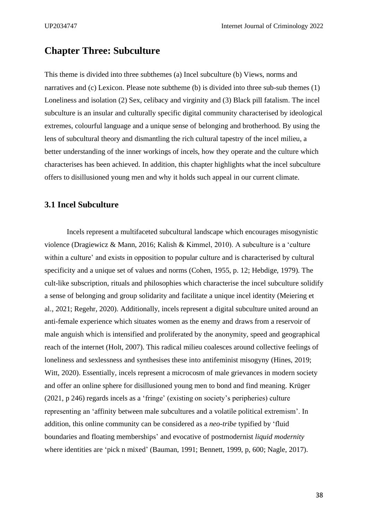# **Chapter Three: Subculture**

This theme is divided into three subthemes (a) Incel subculture (b) Views, norms and narratives and (c) Lexicon. Please note subtheme (b) is divided into three sub-sub themes (1) Loneliness and isolation (2) Sex, celibacy and virginity and (3) Black pill fatalism. The incel subculture is an insular and culturally specific digital community characterised by ideological extremes, colourful language and a unique sense of belonging and brotherhood. By using the lens of subcultural theory and dismantling the rich cultural tapestry of the incel milieu, a better understanding of the inner workings of incels, how they operate and the culture which characterises has been achieved. In addition, this chapter highlights what the incel subculture offers to disillusioned young men and why it holds such appeal in our current climate.

## **3.1 Incel Subculture**

Incels represent a multifaceted subcultural landscape which encourages misogynistic violence (Dragiewicz & Mann, 2016; Kalish & Kimmel, 2010). A subculture is a 'culture within a culture' and exists in opposition to popular culture and is characterised by cultural specificity and a unique set of values and norms (Cohen, 1955, p. 12; Hebdige, 1979). The cult-like subscription, rituals and philosophies which characterise the incel subculture solidify a sense of belonging and group solidarity and facilitate a unique incel identity (Meiering et al., 2021; Regehr, 2020). Additionally, incels represent a digital subculture united around an anti-female experience which situates women as the enemy and draws from a reservoir of male anguish which is intensified and proliferated by the anonymity, speed and geographical reach of the internet (Holt, 2007). This radical milieu coalesces around collective feelings of loneliness and sexlessness and synthesises these into antifeminist misogyny (Hines, 2019; Witt, 2020). Essentially, incels represent a microcosm of male grievances in modern society and offer an online sphere for disillusioned young men to bond and find meaning. Krüger (2021, p 246) regards incels as a 'fringe' (existing on society's peripheries) culture representing an 'affinity between male subcultures and a volatile political extremism'. In addition, this online community can be considered as a *neo-tribe* typified by 'fluid boundaries and floating memberships' and evocative of postmodernist *liquid modernity* where identities are 'pick n mixed' (Bauman, 1991; Bennett, 1999, p, 600; Nagle, 2017).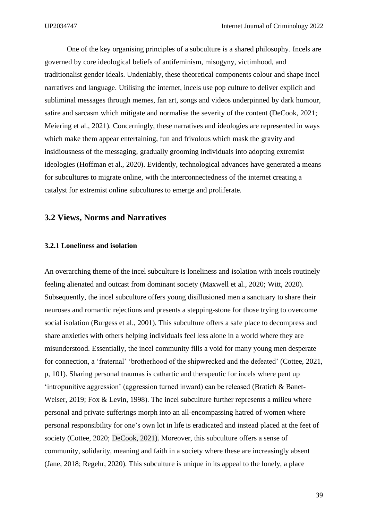One of the key organising principles of a subculture is a shared philosophy. Incels are governed by core ideological beliefs of antifeminism, misogyny, victimhood, and traditionalist gender ideals. Undeniably, these theoretical components colour and shape incel narratives and language. Utilising the internet, incels use pop culture to deliver explicit and subliminal messages through memes, fan art, songs and videos underpinned by dark humour, satire and sarcasm which mitigate and normalise the severity of the content (DeCook, 2021; Meiering et al., 2021). Concerningly, these narratives and ideologies are represented in ways which make them appear entertaining, fun and frivolous which mask the gravity and insidiousness of the messaging, gradually grooming individuals into adopting extremist ideologies (Hoffman et al., 2020). Evidently, technological advances have generated a means for subcultures to migrate online, with the interconnectedness of the internet creating a catalyst for extremist online subcultures to emerge and proliferate.

## **3.2 Views, Norms and Narratives**

#### **3.2.1 Loneliness and isolation**

An overarching theme of the incel subculture is loneliness and isolation with incels routinely feeling alienated and outcast from dominant society (Maxwell et al., 2020; Witt, 2020). Subsequently, the incel subculture offers young disillusioned men a sanctuary to share their neuroses and romantic rejections and presents a stepping-stone for those trying to overcome social isolation (Burgess et al., 2001). This subculture offers a safe place to decompress and share anxieties with others helping individuals feel less alone in a world where they are misunderstood. Essentially, the incel community fills a void for many young men desperate for connection, a 'fraternal' 'brotherhood of the shipwrecked and the defeated' (Cottee, 2021, p, 101). Sharing personal traumas is cathartic and therapeutic for incels where pent up 'intropunitive aggression' (aggression turned inward) can be released (Bratich & Banet-Weiser, 2019; Fox & Levin, 1998). The incel subculture further represents a milieu where personal and private sufferings morph into an all-encompassing hatred of women where personal responsibility for one's own lot in life is eradicated and instead placed at the feet of society (Cottee, 2020; DeCook, 2021). Moreover, this subculture offers a sense of community, solidarity, meaning and faith in a society where these are increasingly absent (Jane, 2018; Regehr, 2020). This subculture is unique in its appeal to the lonely, a place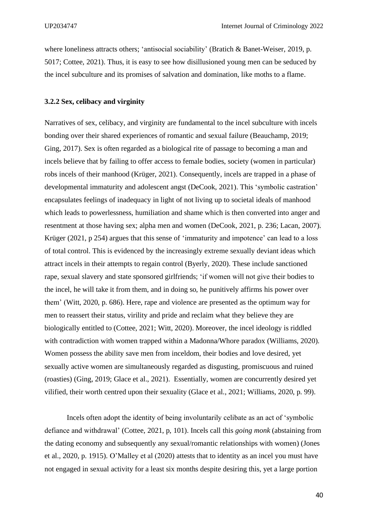where loneliness attracts others; 'antisocial sociability' (Bratich & Banet-Weiser, 2019, p. 5017; Cottee, 2021). Thus, it is easy to see how disillusioned young men can be seduced by the incel subculture and its promises of salvation and domination, like moths to a flame.

#### **3.2.2 Sex, celibacy and virginity**

Narratives of sex, celibacy, and virginity are fundamental to the incel subculture with incels bonding over their shared experiences of romantic and sexual failure (Beauchamp, 2019; Ging, 2017). Sex is often regarded as a biological rite of passage to becoming a man and incels believe that by failing to offer access to female bodies, society (women in particular) robs incels of their manhood (Krüger, 2021). Consequently, incels are trapped in a phase of developmental immaturity and adolescent angst (DeCook, 2021). This 'symbolic castration' encapsulates feelings of inadequacy in light of not living up to societal ideals of manhood which leads to powerlessness, humiliation and shame which is then converted into anger and resentment at those having sex; alpha men and women (DeCook, 2021, p. 236; Lacan, 2007). Krüger (2021, p 254) argues that this sense of 'immaturity and impotence' can lead to a loss of total control. This is evidenced by the increasingly extreme sexually deviant ideas which attract incels in their attempts to regain control (Byerly, 2020). These include sanctioned rape, sexual slavery and state sponsored girlfriends; 'if women will not give their bodies to the incel, he will take it from them, and in doing so, he punitively affirms his power over them' (Witt, 2020, p. 686). Here, rape and violence are presented as the optimum way for men to reassert their status, virility and pride and reclaim what they believe they are biologically entitled to (Cottee, 2021; Witt, 2020). Moreover, the incel ideology is riddled with contradiction with women trapped within a Madonna/Whore paradox (Williams, 2020). Women possess the ability save men from inceldom, their bodies and love desired, yet sexually active women are simultaneously regarded as disgusting, promiscuous and ruined (roasties) (Ging, 2019; Glace et al., 2021). Essentially, women are concurrently desired yet vilified, their worth centred upon their sexuality (Glace et al., 2021; Williams, 2020, p. 99).

Incels often adopt the identity of being involuntarily celibate as an act of 'symbolic defiance and withdrawal' (Cottee, 2021, p, 101). Incels call this *going monk* (abstaining from the dating economy and subsequently any sexual/romantic relationships with women) (Jones et al., 2020, p. 1915). O'Malley et al (2020) attests that to identity as an incel you must have not engaged in sexual activity for a least six months despite desiring this, yet a large portion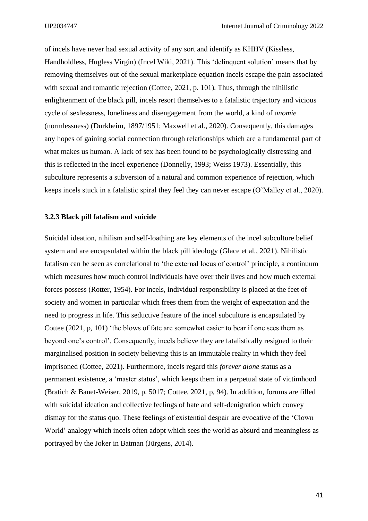of incels have never had sexual activity of any sort and identify as KHHV (Kissless, Handholdless, Hugless Virgin) (Incel Wiki, 2021). This 'delinquent solution' means that by removing themselves out of the sexual marketplace equation incels escape the pain associated with sexual and romantic rejection (Cottee, 2021, p. 101). Thus, through the nihilistic enlightenment of the black pill, incels resort themselves to a fatalistic trajectory and vicious cycle of sexlessness, loneliness and disengagement from the world, a kind of *anomie* (normlessness) (Durkheim, 1897/1951; Maxwell et al., 2020). Consequently, this damages any hopes of gaining social connection through relationships which are a fundamental part of what makes us human. A lack of sex has been found to be psychologically distressing and this is reflected in the incel experience (Donnelly, 1993; Weiss 1973). Essentially, this subculture represents a subversion of a natural and common experience of rejection, which keeps incels stuck in a fatalistic spiral they feel they can never escape (O'Malley et al., 2020).

#### **3.2.3 Black pill fatalism and suicide**

Suicidal ideation, nihilism and self-loathing are key elements of the incel subculture belief system and are encapsulated within the black pill ideology (Glace et al., 2021). Nihilistic fatalism can be seen as correlational to 'the external locus of control' principle, a continuum which measures how much control individuals have over their lives and how much external forces possess (Rotter, 1954). For incels, individual responsibility is placed at the feet of society and women in particular which frees them from the weight of expectation and the need to progress in life. This seductive feature of the incel subculture is encapsulated by Cottee (2021, p, 101) 'the blows of fate are somewhat easier to bear if one sees them as beyond one's control'. Consequently, incels believe they are fatalistically resigned to their marginalised position in society believing this is an immutable reality in which they feel imprisoned (Cottee, 2021). Furthermore, incels regard this *forever alone* status as a permanent existence, a 'master status'*,* which keeps them in a perpetual state of victimhood (Bratich & Banet-Weiser, 2019, p. 5017; Cottee, 2021, p, 94). In addition, forums are filled with suicidal ideation and collective feelings of hate and self-denigration which convey dismay for the status quo. These feelings of existential despair are evocative of the 'Clown World' analogy which incels often adopt which sees the world as absurd and meaningless as portrayed by the Joker in Batman (Jürgens, 2014).

41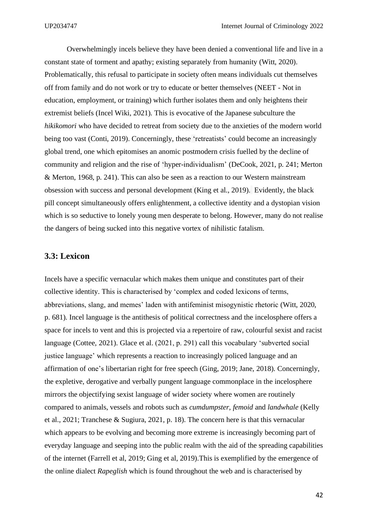Overwhelmingly incels believe they have been denied a conventional life and live in a constant state of torment and apathy; existing separately from humanity (Witt, 2020). Problematically, this refusal to participate in society often means individuals cut themselves off from family and do not work or try to educate or better themselves (NEET - Not in education, employment, or training) which further isolates them and only heightens their extremist beliefs (Incel Wiki, 2021). This is evocative of the Japanese subculture the *hikikomori* who have decided to retreat from society due to the anxieties of the modern world being too vast (Conti, 2019). Concerningly, these 'retreatists' could become an increasingly global trend, one which epitomises an anomic postmodern crisis fuelled by the decline of community and religion and the rise of 'hyper-individualism' (DeCook, 2021, p. 241; Merton & Merton, 1968, p. 241). This can also be seen as a reaction to our Western mainstream obsession with success and personal development (King et al., 2019). Evidently, the black pill concept simultaneously offers enlightenment, a collective identity and a dystopian vision which is so seductive to lonely young men desperate to belong. However, many do not realise the dangers of being sucked into this negative vortex of nihilistic fatalism.

## **3.3: Lexicon**

Incels have a specific vernacular which makes them unique and constitutes part of their collective identity. This is characterised by 'complex and coded lexicons of terms, abbreviations, slang, and memes' laden with antifeminist misogynistic rhetoric (Witt, 2020, p. 681). Incel language is the antithesis of political correctness and the incelosphere offers a space for incels to vent and this is projected via a repertoire of raw, colourful sexist and racist language (Cottee, 2021). Glace et al. (2021, p. 291) call this vocabulary 'subverted social justice language' which represents a reaction to increasingly policed language and an affirmation of one's libertarian right for free speech (Ging, 2019; Jane, 2018). Concerningly, the expletive, derogative and verbally pungent language commonplace in the incelosphere mirrors the objectifying sexist language of wider society where women are routinely compared to animals, vessels and robots such as *cumdumpster, femoid* and *landwhale* (Kelly et al., 2021; Tranchese & Sugiura, 2021, p. 18). The concern here is that this vernacular which appears to be evolving and becoming more extreme is increasingly becoming part of everyday language and seeping into the public realm with the aid of the spreading capabilities of the internet (Farrell et al, 2019; Ging et al, 2019).This is exemplified by the emergence of the online dialect *Rapeglish* which is found throughout the web and is characterised by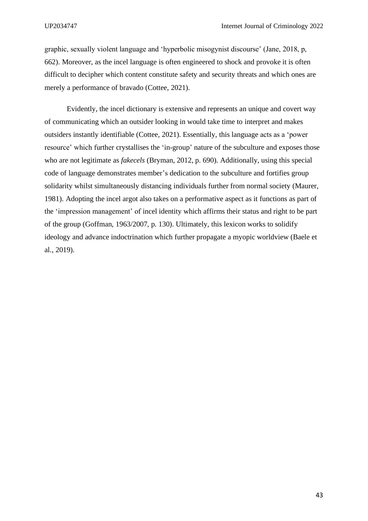graphic, sexually violent language and 'hyperbolic misogynist discourse' (Jane, 2018, p, 662). Moreover, as the incel language is often engineered to shock and provoke it is often difficult to decipher which content constitute safety and security threats and which ones are merely a performance of bravado (Cottee, 2021).

Evidently, the incel dictionary is extensive and represents an unique and covert way of communicating which an outsider looking in would take time to interpret and makes outsiders instantly identifiable (Cottee, 2021). Essentially, this language acts as a 'power resource' which further crystallises the 'in-group' nature of the subculture and exposes those who are not legitimate as *fakecels* (Bryman, 2012, p. 690). Additionally, using this special code of language demonstrates member's dedication to the subculture and fortifies group solidarity whilst simultaneously distancing individuals further from normal society (Maurer, 1981). Adopting the incel argot also takes on a performative aspect as it functions as part of the 'impression management' of incel identity which affirms their status and right to be part of the group (Goffman, 1963/2007, p. 130). Ultimately, this lexicon works to solidify ideology and advance indoctrination which further propagate a myopic worldview (Baele et al., 2019).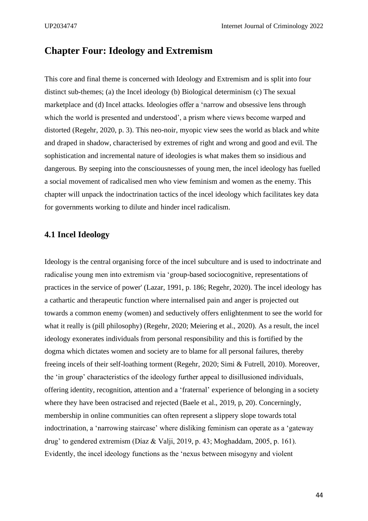# **Chapter Four: Ideology and Extremism**

This core and final theme is concerned with Ideology and Extremism and is split into four distinct sub-themes; (a) the Incel ideology (b) Biological determinism (c) The sexual marketplace and (d) Incel attacks. Ideologies offer a 'narrow and obsessive lens through which the world is presented and understood', a prism where views become warped and distorted (Regehr, 2020, p. 3). This neo-noir, myopic view sees the world as black and white and draped in shadow, characterised by extremes of right and wrong and good and evil. The sophistication and incremental nature of ideologies is what makes them so insidious and dangerous. By seeping into the consciousnesses of young men, the incel ideology has fuelled a social movement of radicalised men who view feminism and women as the enemy. This chapter will unpack the indoctrination tactics of the incel ideology which facilitates key data for governments working to dilute and hinder incel radicalism.

## **4.1 Incel Ideology**

Ideology is the central organising force of the incel subculture and is used to indoctrinate and radicalise young men into extremism via 'group-based sociocognitive, representations of practices in the service of power' (Lazar, 1991, p. 186; Regehr, 2020). The incel ideology has a cathartic and therapeutic function where internalised pain and anger is projected out towards a common enemy (women) and seductively offers enlightenment to see the world for what it really is (pill philosophy) (Regehr, 2020; Meiering et al., 2020). As a result, the incel ideology exonerates individuals from personal responsibility and this is fortified by the dogma which dictates women and society are to blame for all personal failures, thereby freeing incels of their self-loathing torment (Regehr, 2020; Simi & Futrell, 2010). Moreover, the 'in group' characteristics of the ideology further appeal to disillusioned individuals, offering identity, recognition, attention and a 'fraternal' experience of belonging in a society where they have been ostracised and rejected (Baele et al., 2019, p, 20). Concerningly, membership in online communities can often represent a slippery slope towards total indoctrination, a 'narrowing staircase' where disliking feminism can operate as a 'gateway drug' to gendered extremism (Díaz & Valji, 2019, p. 43; Moghaddam, 2005, p. 161). Evidently, the incel ideology functions as the 'nexus between misogyny and violent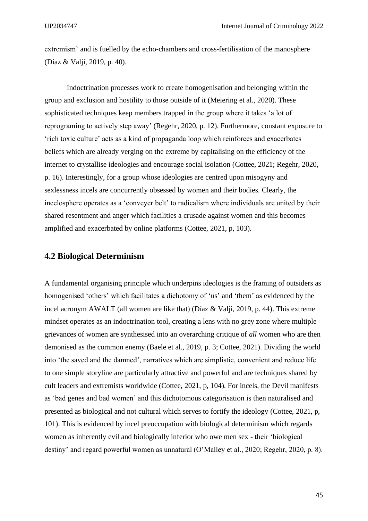extremism' and is fuelled by the echo-chambers and cross-fertilisation of the manosphere (Díaz & Valji, 2019, p. 40).

Indoctrination processes work to create homogenisation and belonging within the group and exclusion and hostility to those outside of it (Meiering et al., 2020). These sophisticated techniques keep members trapped in the group where it takes 'a lot of reprograming to actively step away' (Regehr, 2020, p. 12). Furthermore, constant exposure to 'rich toxic culture' acts as a kind of propaganda loop which reinforces and exacerbates beliefs which are already verging on the extreme by capitalising on the efficiency of the internet to crystallise ideologies and encourage social isolation (Cottee, 2021; Regehr, 2020, p. 16). Interestingly, for a group whose ideologies are centred upon misogyny and sexlessness incels are concurrently obsessed by women and their bodies. Clearly, the incelosphere operates as a 'conveyer belt' to radicalism where individuals are united by their shared resentment and anger which facilities a crusade against women and this becomes amplified and exacerbated by online platforms (Cottee, 2021, p, 103).

### **4.2 Biological Determinism**

A fundamental organising principle which underpins ideologies is the framing of outsiders as homogenised 'others' which facilitates a dichotomy of 'us' and 'them' as evidenced by the incel acronym AWALT (all women are like that) (Díaz & Valji, 2019, p. 44). This extreme mindset operates as an indoctrination tool, creating a lens with no grey zone where multiple grievances of women are synthesised into an overarching critique of *all* women who are then demonised as the common enemy (Baele et al., 2019, p. 3; Cottee, 2021). Dividing the world into 'the saved and the damned', narratives which are simplistic, convenient and reduce life to one simple storyline are particularly attractive and powerful and are techniques shared by cult leaders and extremists worldwide (Cottee, 2021, p, 104). For incels, the Devil manifests as 'bad genes and bad women' and this dichotomous categorisation is then naturalised and presented as biological and not cultural which serves to fortify the ideology (Cottee, 2021, p, 101). This is evidenced by incel preoccupation with biological determinism which regards women as inherently evil and biologically inferior who owe men sex - their 'biological destiny' and regard powerful women as unnatural (O'Malley et al., 2020; Regehr, 2020, p. 8).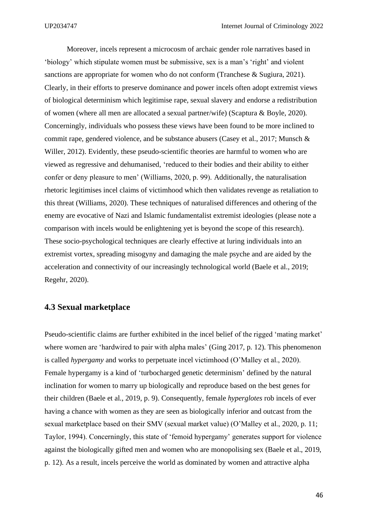Moreover, incels represent a microcosm of archaic gender role narratives based in 'biology' which stipulate women must be submissive, sex is a man's 'right' and violent sanctions are appropriate for women who do not conform (Tranchese & Sugiura, 2021). Clearly, in their efforts to preserve dominance and power incels often adopt extremist views of biological determinism which legitimise rape, sexual slavery and endorse a redistribution of women (where all men are allocated a sexual partner/wife) (Scaptura & Boyle, 2020). Concerningly, individuals who possess these views have been found to be more inclined to commit rape, gendered violence, and be substance abusers (Casey et al., 2017; Munsch & Willer, 2012). Evidently, these pseudo-scientific theories are harmful to women who are viewed as regressive and dehumanised, 'reduced to their bodies and their ability to either confer or deny pleasure to men' (Williams, 2020, p. 99). Additionally, the naturalisation rhetoric legitimises incel claims of victimhood which then validates revenge as retaliation to this threat (Williams, 2020). These techniques of naturalised differences and othering of the enemy are evocative of Nazi and Islamic fundamentalist extremist ideologies (please note a comparison with incels would be enlightening yet is beyond the scope of this research). These socio-psychological techniques are clearly effective at luring individuals into an extremist vortex, spreading misogyny and damaging the male psyche and are aided by the acceleration and connectivity of our increasingly technological world (Baele et al., 2019; Regehr, 2020).

#### **4.3 Sexual marketplace**

Pseudo-scientific claims are further exhibited in the incel belief of the rigged 'mating market' where women are 'hardwired to pair with alpha males' (Ging 2017, p. 12). This phenomenon is called *hypergamy* and works to perpetuate incel victimhood (O'Malley et al., 2020). Female hypergamy is a kind of 'turbocharged genetic determinism' defined by the natural inclination for women to marry up biologically and reproduce based on the best genes for their children (Baele et al., 2019, p. 9). Consequently, female *hyperglotes* rob incels of ever having a chance with women as they are seen as biologically inferior and outcast from the sexual marketplace based on their SMV (sexual market value) (O'Malley et al., 2020, p. 11; Taylor, 1994). Concerningly, this state of 'femoid hypergamy' generates support for violence against the biologically gifted men and women who are monopolising sex (Baele et al., 2019, p. 12). As a result, incels perceive the world as dominated by women and attractive alpha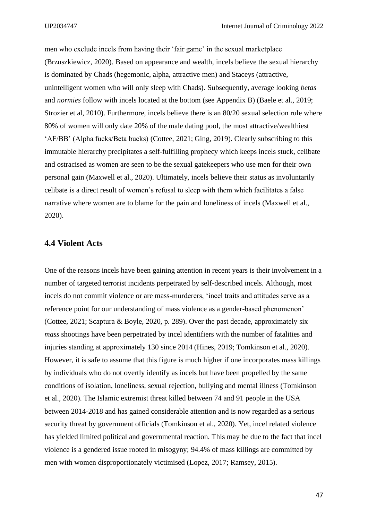men who exclude incels from having their 'fair game' in the sexual marketplace (Brzuszkiewicz, 2020). Based on appearance and wealth, incels believe the sexual hierarchy is dominated by Chads (hegemonic, alpha, attractive men) and Staceys (attractive, unintelligent women who will only sleep with Chads). Subsequently, average looking *betas*  and *normies* follow with incels located at the bottom (see Appendix B) (Baele et al., 2019; Strozier et al, 2010). Furthermore, incels believe there is an 80/20 sexual selection rule where 80% of women will only date 20% of the male dating pool, the most attractive/wealthiest 'AF/BB' (Alpha fucks/Beta bucks) (Cottee, 2021; Ging, 2019). Clearly subscribing to this immutable hierarchy precipitates a self-fulfilling prophecy which keeps incels stuck, celibate and ostracised as women are seen to be the sexual gatekeepers who use men for their own personal gain (Maxwell et al., 2020). Ultimately, incels believe their status as involuntarily celibate is a direct result of women's refusal to sleep with them which facilitates a false narrative where women are to blame for the pain and loneliness of incels (Maxwell et al., 2020).

### **4.4 Violent Acts**

One of the reasons incels have been gaining attention in recent years is their involvement in a number of targeted terrorist incidents perpetrated by self-described incels. Although, most incels do not commit violence or are mass-murderers, 'incel traits and attitudes serve as a reference point for our understanding of mass violence as a gender-based phenomenon' (Cottee, 2021; Scaptura & Boyle, 2020, p. 289). Over the past decade, approximately six *mass* shootings have been perpetrated by incel identifiers with the number of fatalities and injuries standing at approximately 130 since 2014 (Hines, 2019; Tomkinson et al., 2020). However, it is safe to assume that this figure is much higher if one incorporates mass killings by individuals who do not overtly identify as incels but have been propelled by the same conditions of isolation, loneliness, sexual rejection, bullying and mental illness (Tomkinson et al., 2020). The Islamic extremist threat killed between 74 and 91 people in the USA between 2014-2018 and has gained considerable attention and is now regarded as a serious security threat by government officials (Tomkinson et al., 2020). Yet, incel related violence has yielded limited political and governmental reaction. This may be due to the fact that incel violence is a gendered issue rooted in misogyny; 94.4% of mass killings are committed by men with women disproportionately victimised (Lopez, 2017; Ramsey, 2015).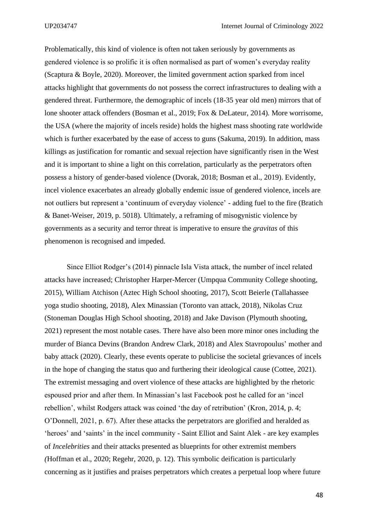Problematically, this kind of violence is often not taken seriously by governments as gendered violence is so prolific it is often normalised as part of women's everyday reality (Scaptura & Boyle, 2020). Moreover, the limited government action sparked from incel attacks highlight that governments do not possess the correct infrastructures to dealing with a gendered threat. Furthermore, the demographic of incels (18-35 year old men) mirrors that of lone shooter attack offenders (Bosman et al., 2019; Fox & DeLateur, 2014). More worrisome, the USA (where the majority of incels reside) holds the highest mass shooting rate worldwide which is further exacerbated by the ease of access to guns (Sakuma, 2019). In addition, mass killings as justification for romantic and sexual rejection have significantly risen in the West and it is important to shine a light on this correlation, particularly as the perpetrators often possess a history of gender-based violence (Dvorak, 2018; Bosman et al., 2019). Evidently, incel violence exacerbates an already globally endemic issue of gendered violence, incels are not outliers but represent a 'continuum of everyday violence' - adding fuel to the fire (Bratich & Banet-Weiser, 2019, p. 5018). Ultimately, a reframing of misogynistic violence by governments as a security and terror threat is imperative to ensure the *gravitas* of this phenomenon is recognised and impeded.

Since Elliot Rodger's (2014) pinnacle Isla Vista attack, the number of incel related attacks have increased; Christopher Harper-Mercer (Umpqua Community College shooting, 2015), William Atchison (Aztec High School shooting, 2017), Scott Beierle (Tallahassee yoga studio shooting, 2018), Alex Minassian (Toronto van attack, 2018), Nikolas Cruz (Stoneman Douglas High School shooting, 2018) and Jake Davison (Plymouth shooting, 2021) represent the most notable cases. There have also been more minor ones including the murder of Bianca Devins (Brandon Andrew Clark, 2018) and Alex Stavropoulus' mother and baby attack (2020). Clearly, these events operate to publicise the societal grievances of incels in the hope of changing the status quo and furthering their ideological cause (Cottee, 2021). The extremist messaging and overt violence of these attacks are highlighted by the rhetoric espoused prior and after them. In Minassian's last Facebook post he called for an 'incel rebellion', whilst Rodgers attack was coined 'the day of retribution' (Kron, 2014, p. 4; O'Donnell, 2021, p. 67). After these attacks the perpetrators are glorified and heralded as 'heroes' and 'saints' in the incel community - Saint Elliot and Saint Alek - are key examples of *Incelebrities* and their attacks presented as blueprints for other extremist members *(*Hoffman et al., 2020; Regehr, 2020, p. 12). This symbolic deification is particularly concerning as it justifies and praises perpetrators which creates a perpetual loop where future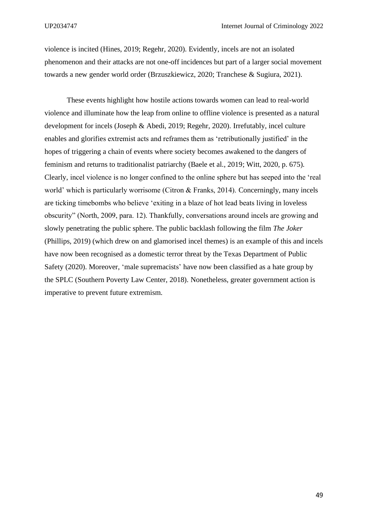violence is incited (Hines, 2019; Regehr, 2020). Evidently, incels are not an isolated phenomenon and their attacks are not one-off incidences but part of a larger social movement towards a new gender world order (Brzuszkiewicz, 2020; Tranchese & Sugiura, 2021).

These events highlight how hostile actions towards women can lead to real-world violence and illuminate how the leap from online to offline violence is presented as a natural development for incels (Joseph & Abedi, 2019; Regehr, 2020). Irrefutably, incel culture enables and glorifies extremist acts and reframes them as 'retributionally justified' in the hopes of triggering a chain of events where society becomes awakened to the dangers of feminism and returns to traditionalist patriarchy (Baele et al., 2019; Witt, 2020, p. 675). Clearly, incel violence is no longer confined to the online sphere but has seeped into the 'real world' which is particularly worrisome (Citron & Franks, 2014). Concerningly, many incels are ticking timebombs who believe 'exiting in a blaze of hot lead beats living in loveless obscurity" (North, 2009, para. 12). Thankfully, conversations around incels are growing and slowly penetrating the public sphere. The public backlash following the film *The Joker*  (Phillips, 2019) (which drew on and glamorised incel themes) is an example of this and incels have now been recognised as a domestic terror threat by the Texas Department of Public Safety (2020). Moreover, 'male supremacists' have now been classified as a hate group by the SPLC (Southern Poverty Law Center, 2018). Nonetheless, greater government action is imperative to prevent future extremism.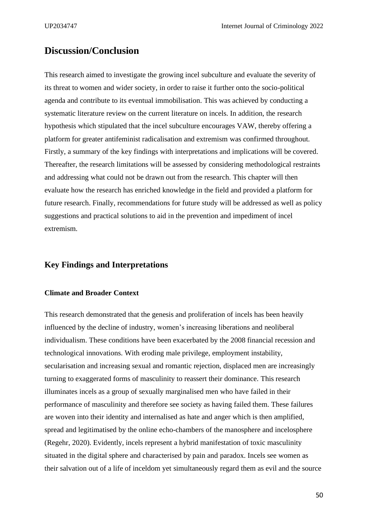# **Discussion/Conclusion**

This research aimed to investigate the growing incel subculture and evaluate the severity of its threat to women and wider society, in order to raise it further onto the socio-political agenda and contribute to its eventual immobilisation. This was achieved by conducting a systematic literature review on the current literature on incels. In addition, the research hypothesis which stipulated that the incel subculture encourages VAW, thereby offering a platform for greater antifeminist radicalisation and extremism was confirmed throughout. Firstly, a summary of the key findings with interpretations and implications will be covered. Thereafter, the research limitations will be assessed by considering methodological restraints and addressing what could not be drawn out from the research. This chapter will then evaluate how the research has enriched knowledge in the field and provided a platform for future research. Finally, recommendations for future study will be addressed as well as policy suggestions and practical solutions to aid in the prevention and impediment of incel extremism.

## **Key Findings and Interpretations**

#### **Climate and Broader Context**

This research demonstrated that the genesis and proliferation of incels has been heavily influenced by the decline of industry, women's increasing liberations and neoliberal individualism. These conditions have been exacerbated by the 2008 financial recession and technological innovations. With eroding male privilege, employment instability, secularisation and increasing sexual and romantic rejection, displaced men are increasingly turning to exaggerated forms of masculinity to reassert their dominance. This research illuminates incels as a group of sexually marginalised men who have failed in their performance of masculinity and therefore see society as having failed them. These failures are woven into their identity and internalised as hate and anger which is then amplified, spread and legitimatised by the online echo-chambers of the manosphere and incelosphere (Regehr, 2020). Evidently, incels represent a hybrid manifestation of toxic masculinity situated in the digital sphere and characterised by pain and paradox. Incels see women as their salvation out of a life of inceldom yet simultaneously regard them as evil and the source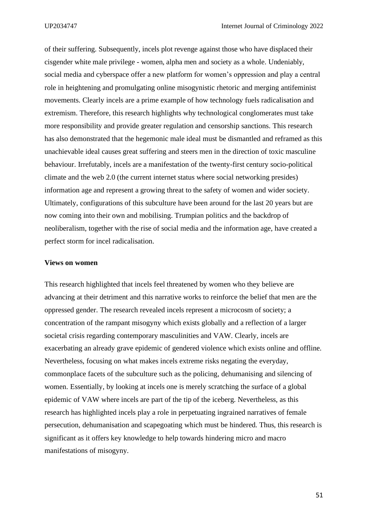of their suffering. Subsequently, incels plot revenge against those who have displaced their cisgender white male privilege - women, alpha men and society as a whole. Undeniably, social media and cyberspace offer a new platform for women's oppression and play a central role in heightening and promulgating online misogynistic rhetoric and merging antifeminist movements. Clearly incels are a prime example of how technology fuels radicalisation and extremism. Therefore, this research highlights why technological conglomerates must take more responsibility and provide greater regulation and censorship sanctions. This research has also demonstrated that the hegemonic male ideal must be dismantled and reframed as this unachievable ideal causes great suffering and steers men in the direction of toxic masculine behaviour. Irrefutably, incels are a manifestation of the twenty-first century socio-political climate and the web 2.0 (the current internet status where social networking presides) information age and represent a growing threat to the safety of women and wider society. Ultimately, configurations of this subculture have been around for the last 20 years but are now coming into their own and mobilising. Trumpian politics and the backdrop of neoliberalism, together with the rise of social media and the information age, have created a perfect storm for incel radicalisation.

#### **Views on women**

This research highlighted that incels feel threatened by women who they believe are advancing at their detriment and this narrative works to reinforce the belief that men are the oppressed gender. The research revealed incels represent a microcosm of society; a concentration of the rampant misogyny which exists globally and a reflection of a larger societal crisis regarding contemporary masculinities and VAW. Clearly, incels are exacerbating an already grave epidemic of gendered violence which exists online and offline. Nevertheless, focusing on what makes incels extreme risks negating the everyday, commonplace facets of the subculture such as the policing, dehumanising and silencing of women. Essentially, by looking at incels one is merely scratching the surface of a global epidemic of VAW where incels are part of the tip of the iceberg. Nevertheless, as this research has highlighted incels play a role in perpetuating ingrained narratives of female persecution, dehumanisation and scapegoating which must be hindered. Thus, this research is significant as it offers key knowledge to help towards hindering micro and macro manifestations of misogyny.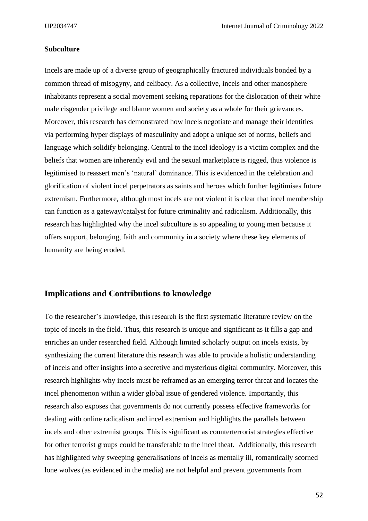#### **Subculture**

Incels are made up of a diverse group of geographically fractured individuals bonded by a common thread of misogyny, and celibacy. As a collective, incels and other manosphere inhabitants represent a social movement seeking reparations for the dislocation of their white male cisgender privilege and blame women and society as a whole for their grievances. Moreover, this research has demonstrated how incels negotiate and manage their identities via performing hyper displays of masculinity and adopt a unique set of norms, beliefs and language which solidify belonging. Central to the incel ideology is a victim complex and the beliefs that women are inherently evil and the sexual marketplace is rigged, thus violence is legitimised to reassert men's 'natural' dominance. This is evidenced in the celebration and glorification of violent incel perpetrators as saints and heroes which further legitimises future extremism. Furthermore, although most incels are not violent it is clear that incel membership can function as a gateway/catalyst for future criminality and radicalism. Additionally, this research has highlighted why the incel subculture is so appealing to young men because it offers support, belonging, faith and community in a society where these key elements of humanity are being eroded.

#### **Implications and Contributions to knowledge**

To the researcher's knowledge, this research is the first systematic literature review on the topic of incels in the field. Thus, this research is unique and significant as it fills a gap and enriches an under researched field. Although limited scholarly output on incels exists, by synthesizing the current literature this research was able to provide a holistic understanding of incels and offer insights into a secretive and mysterious digital community. Moreover, this research highlights why incels must be reframed as an emerging terror threat and locates the incel phenomenon within a wider global issue of gendered violence. Importantly, this research also exposes that governments do not currently possess effective frameworks for dealing with online radicalism and incel extremism and highlights the parallels between incels and other extremist groups. This is significant as counterterrorist strategies effective for other terrorist groups could be transferable to the incel theat. Additionally, this research has highlighted why sweeping generalisations of incels as mentally ill, romantically scorned lone wolves (as evidenced in the media) are not helpful and prevent governments from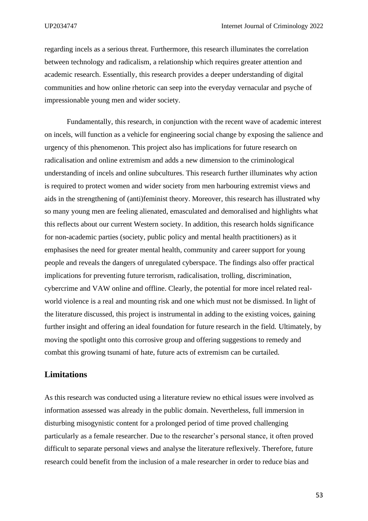regarding incels as a serious threat. Furthermore, this research illuminates the correlation between technology and radicalism, a relationship which requires greater attention and academic research. Essentially, this research provides a deeper understanding of digital communities and how online rhetoric can seep into the everyday vernacular and psyche of impressionable young men and wider society.

Fundamentally, this research, in conjunction with the recent wave of academic interest on incels, will function as a vehicle for engineering social change by exposing the salience and urgency of this phenomenon. This project also has implications for future research on radicalisation and online extremism and adds a new dimension to the criminological understanding of incels and online subcultures. This research further illuminates why action is required to protect women and wider society from men harbouring extremist views and aids in the strengthening of (anti)feminist theory. Moreover, this research has illustrated why so many young men are feeling alienated, emasculated and demoralised and highlights what this reflects about our current Western society. In addition, this research holds significance for non-academic parties (society, public policy and mental health practitioners) as it emphasises the need for greater mental health, community and career support for young people and reveals the dangers of unregulated cyberspace. The findings also offer practical implications for preventing future terrorism, radicalisation, trolling, discrimination, cybercrime and VAW online and offline. Clearly, the potential for more incel related realworld violence is a real and mounting risk and one which must not be dismissed. In light of the literature discussed, this project is instrumental in adding to the existing voices, gaining further insight and offering an ideal foundation for future research in the field. Ultimately, by moving the spotlight onto this corrosive group and offering suggestions to remedy and combat this growing tsunami of hate, future acts of extremism can be curtailed.

### **Limitations**

As this research was conducted using a literature review no ethical issues were involved as information assessed was already in the public domain. Nevertheless, full immersion in disturbing misogynistic content for a prolonged period of time proved challenging particularly as a female researcher. Due to the researcher's personal stance, it often proved difficult to separate personal views and analyse the literature reflexively. Therefore, future research could benefit from the inclusion of a male researcher in order to reduce bias and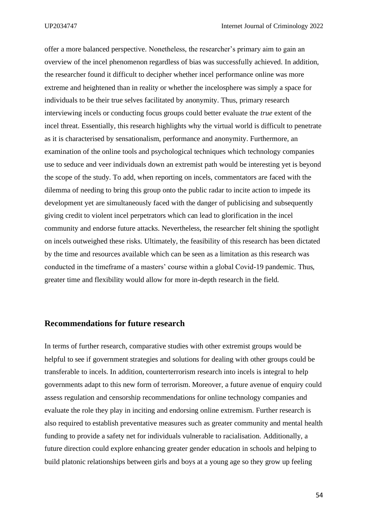offer a more balanced perspective. Nonetheless, the researcher's primary aim to gain an overview of the incel phenomenon regardless of bias was successfully achieved. In addition, the researcher found it difficult to decipher whether incel performance online was more extreme and heightened than in reality or whether the incelosphere was simply a space for individuals to be their true selves facilitated by anonymity. Thus, primary research interviewing incels or conducting focus groups could better evaluate the *true* extent of the incel threat. Essentially, this research highlights why the virtual world is difficult to penetrate as it is characterised by sensationalism, performance and anonymity. Furthermore, an examination of the online tools and psychological techniques which technology companies use to seduce and veer individuals down an extremist path would be interesting yet is beyond the scope of the study. To add, when reporting on incels, commentators are faced with the dilemma of needing to bring this group onto the public radar to incite action to impede its development yet are simultaneously faced with the danger of publicising and subsequently giving credit to violent incel perpetrators which can lead to glorification in the incel community and endorse future attacks. Nevertheless, the researcher felt shining the spotlight on incels outweighed these risks. Ultimately, the feasibility of this research has been dictated by the time and resources available which can be seen as a limitation as this research was conducted in the timeframe of a masters' course within a global Covid-19 pandemic. Thus, greater time and flexibility would allow for more in-depth research in the field.

## **Recommendations for future research**

In terms of further research, comparative studies with other extremist groups would be helpful to see if government strategies and solutions for dealing with other groups could be transferable to incels. In addition, counterterrorism research into incels is integral to help governments adapt to this new form of terrorism. Moreover, a future avenue of enquiry could assess regulation and censorship recommendations for online technology companies and evaluate the role they play in inciting and endorsing online extremism. Further research is also required to establish preventative measures such as greater community and mental health funding to provide a safety net for individuals vulnerable to racialisation. Additionally, a future direction could explore enhancing greater gender education in schools and helping to build platonic relationships between girls and boys at a young age so they grow up feeling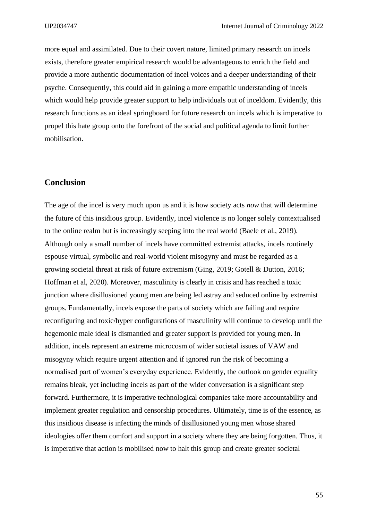more equal and assimilated. Due to their covert nature, limited primary research on incels exists, therefore greater empirical research would be advantageous to enrich the field and provide a more authentic documentation of incel voices and a deeper understanding of their psyche. Consequently, this could aid in gaining a more empathic understanding of incels which would help provide greater support to help individuals out of inceldom. Evidently, this research functions as an ideal springboard for future research on incels which is imperative to propel this hate group onto the forefront of the social and political agenda to limit further mobilisation.

### **Conclusion**

The age of the incel is very much upon us and it is how society acts *now* that will determine the future of this insidious group. Evidently, incel violence is no longer solely contextualised to the online realm but is increasingly seeping into the real world (Baele et al., 2019). Although only a small number of incels have committed extremist attacks, incels routinely espouse virtual, symbolic and real-world violent misogyny and must be regarded as a growing societal threat at risk of future extremism (Ging, 2019; Gotell & Dutton, 2016; Hoffman et al, 2020). Moreover, masculinity is clearly in crisis and has reached a toxic junction where disillusioned young men are being led astray and seduced online by extremist groups. Fundamentally, incels expose the parts of society which are failing and require reconfiguring and toxic/hyper configurations of masculinity will continue to develop until the hegemonic male ideal is dismantled and greater support is provided for young men. In addition, incels represent an extreme microcosm of wider societal issues of VAW and misogyny which require urgent attention and if ignored run the risk of becoming a normalised part of women's everyday experience. Evidently, the outlook on gender equality remains bleak, yet including incels as part of the wider conversation is a significant step forward. Furthermore, it is imperative technological companies take more accountability and implement greater regulation and censorship procedures. Ultimately, time is of the essence, as this insidious disease is infecting the minds of disillusioned young men whose shared ideologies offer them comfort and support in a society where they are being forgotten. Thus, it is imperative that action is mobilised now to halt this group and create greater societal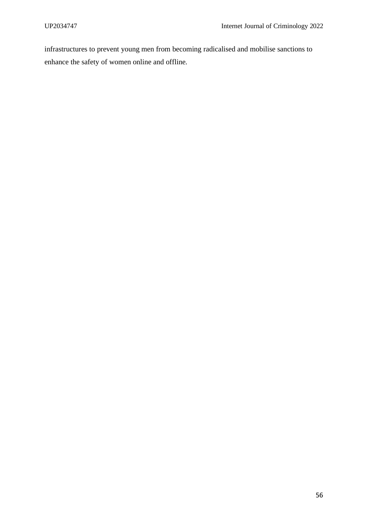infrastructures to prevent young men from becoming radicalised and mobilise sanctions to enhance the safety of women online and offline.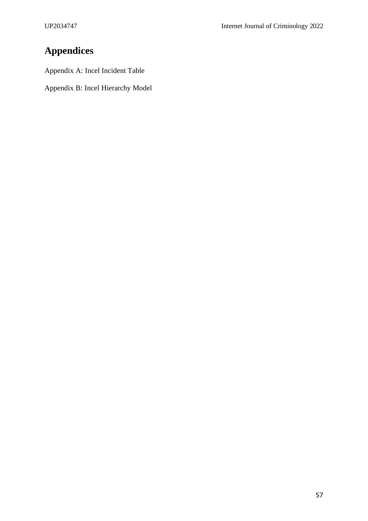# **Appendices**

Appendix A: Incel Incident Table

Appendix B: Incel Hierarchy Model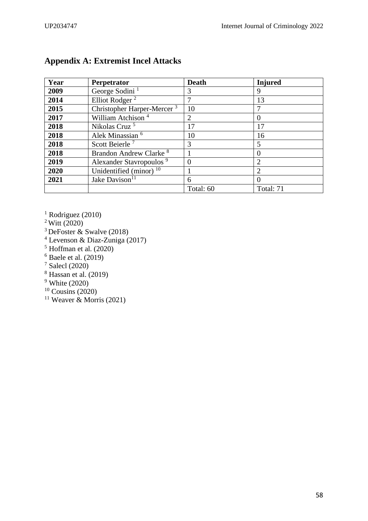| Year | Perpetrator                            | <b>Death</b> | <b>Injured</b> |
|------|----------------------------------------|--------------|----------------|
| 2009 | George Sodini <sup>1</sup>             | 3            | 9              |
| 2014 | Elliot Rodger <sup>2</sup>             |              | 13             |
| 2015 | Christopher Harper-Mercer <sup>3</sup> | 10           |                |
| 2017 | William Atchison <sup>4</sup>          | 2            | 0              |
| 2018 | Nikolas Cruz <sup>5</sup>              | 17           | 17             |
| 2018 | Alek Minassian <sup>6</sup>            | 10           | 16             |
| 2018 | Scott Beierle <sup>7</sup>             | 3            | 5              |
| 2018 | Brandon Andrew Clarke <sup>8</sup>     |              | 0              |
| 2019 | Alexander Stavropoulos <sup>9</sup>    |              | $\overline{2}$ |
| 2020 | Unidentified (minor) $10$              |              |                |
| 2021 | Jake Davison <sup>11</sup>             | 6            |                |
|      |                                        | Total: 60    | Total: 71      |

# **Appendix A: Extremist Incel Attacks**

- <sup>1</sup> Rodriguez (2010)
- Witt (2020)
- <sup>3</sup> DeFoster  $\&$  Swalve (2018)
- Levenson & Diaz-Zuniga (2017)
- $<sup>5</sup>$  Hoffman et al. (2020)</sup>
- Baele et al. (2019)
- Salecl (2020)
- Hassan et al. (2019)
- White (2020)
- Cousins (2020)
- <sup>11</sup> Weaver & Morris (2021)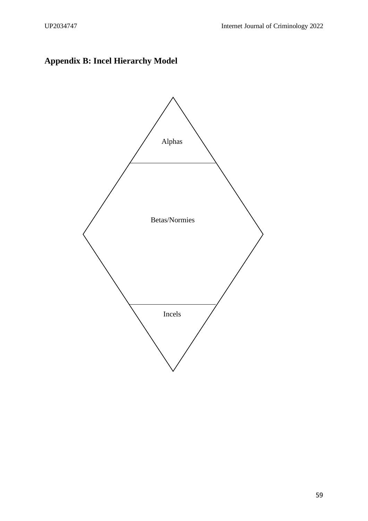# **Appendix B: Incel Hierarchy Model**

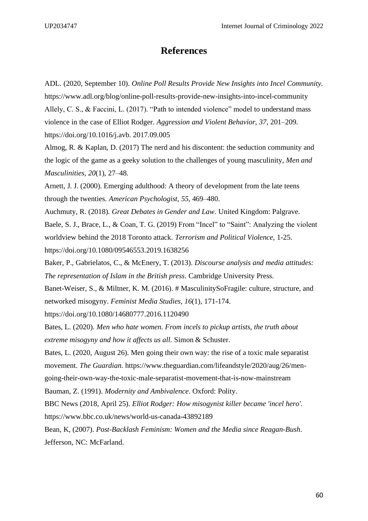# **References**

ADL. (2020, September 10). *Online Poll Results Provide New Insights into Incel Community.* <https://www.adl.org/blog/online-poll-results-provide-new-insights-into-incel-community> Allely, C. S., & Faccini, L. (2017). "Path to intended violence" model to understand mass violence in the case of Elliot Rodger. *Aggression and Violent Behavior, 37*, 201–209. https://doi.org/10.1016/j.avb. 2017.09.005 Almog, R. & Kaplan, D. (2017) The nerd and his discontent: the seduction community and the logic of the game as a geeky solution to the challenges of young masculinity, *Men and Masculinities, 20*(1), 27–48. Arnett, J. J. (2000). Emerging adulthood: A theory of development from the late teens through the twenties. *American Psychologist, 55,* 469–480. Auchmuty, R. (2018). *Great Debates in Gender and Law*. United Kingdom: Palgrave. Baele, S. J., Brace, L., & Coan, T. G. (2019) From "Incel" to "Saint": Analyzing the violent worldview behind the 2018 Toronto attack. *Terrorism and Political Violence,* 1-25. <https://doi.org/10.1080/09546553.2019.1638256> Baker, P., Gabrielatos, C., & McEnery, T. (2013). *Discourse analysis and media attitudes: The representation of Islam in the British press*. Cambridge University Press. Banet-Weiser, S., & Miltner, K. M. (2016). # MasculinitySoFragile: culture, structure, and networked misogyny. *Feminist Media Studies, 16*(1), 171-174. <https://doi.org/10.1080/14680777.2016.1120490> Bates, L. (2020). *Men who hate women. From incels to pickup artists, the truth about extreme misogyny and how it affects us all.* Simon & Schuster. Bates, L. (2020, August 26). Men going their own way: the rise of a toxic male separatist movement. *The Guardian*. [https://www.theguardian.com/lifeandstyle/2020/aug/26/men](https://www.theguardian.com/lifeandstyle/2020/aug/26/men-going-their-own-way-the-toxic-male-separatist-movement-that-is-now-mainstream)[going-their-own-way-the-toxic-male-separatist-movement-that-is-now-mainstream](https://www.theguardian.com/lifeandstyle/2020/aug/26/men-going-their-own-way-the-toxic-male-separatist-movement-that-is-now-mainstream) Bauman, Z. (1991). *Modernity and Ambivalence*. Oxford: Polity. BBC News (2018, April 25). *Elliot Rodger: How misogynist killer became 'incel hero'.*

<https://www.bbc.co.uk/news/world-us-canada-43892189>

Bean, K, (2007). *Post-Backlash Feminism: Women and the Media since Reagan-Bush*. Jefferson, NC: McFarland.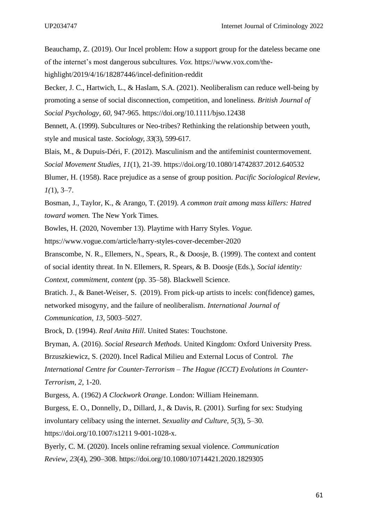Beauchamp, Z. (2019). Our Incel problem: How a support group for the dateless became one of the internet's most dangerous subcultures. *Vox.* https://www.vox.com/thehighlight/2019/4/16/18287446/incel-definition-reddit

Becker, J. C., Hartwich, L., & Haslam, S.A. (2021). Neoliberalism can reduce well-being by promoting a sense of social disconnection, competition, and loneliness. *British Journal of Social Psychology, 60*, 947-965. <https://doi.org/10.1111/bjso.12438>

Bennett, A. (1999). Subcultures or Neo-tribes? Rethinking the relationship between youth, style and musical taste. *Sociology, 33*(3), 599-617.

Blais, M., & Dupuis-Déri, F. (2012). Masculinism and the antifeminist countermovement. *Social Movement Studies, 11*(1), 21-39.<https://doi.org/10.1080/14742837.2012.640532> Blumer, H. (1958). Race prejudice as a sense of group position. *Pacific Sociological Review, 1(*1), 3–7.

Bosman, J., Taylor, K., & Arango, T. (2019). *A common trait among mass killers: Hatred toward women.* The New York Times.

Bowles, H. (2020, November 13). Playtime with Harry Styles. *Vogue.* 

<https://www.vogue.com/article/harry-styles-cover-december-2020>

Branscombe, N. R., Ellemers, N., Spears, R., & Doosje, B. (1999). The context and content of social identity threat. In N. Ellemers, R. Spears, & B. Doosje (Eds.), *Social identity: Context, commitment, content* (pp. 35–58). Blackwell Science.

Bratich. J., & Banet-Weiser, S. (2019). From pick-up artists to incels: con(fidence) games, networked misogyny, and the failure of neoliberalism. *International Journal of Communication, 13*, 5003–5027.

Brock, D. (1994). *Real Anita Hill*. United States: Touchstone.

Bryman, A. (2016). *Social Research Methods*. United Kingdom: Oxford University Press.

Brzuszkiewicz, S. (2020). Incel Radical Milieu and External Locus of Control. *The International Centre for Counter-Terrorism – The Hague (ICCT) Evolutions in Counter-Terrorism, 2*, 1-20.

Burgess, A. (1962) *A Clockwork Orange*. London: William Heinemann.

Burgess, E. O., Donnelly, D., Dillard, J., & Davis, R. (2001). Surfing for sex: Studying involuntary celibacy using the internet. *Sexuality and Culture, 5*(3), 5–30.

https://doi.org/10.1007/s1211 9-001-1028-x.

Byerly, C. M. (2020). Incels online reframing sexual violence. *Communication Review*, *23*(4), 290–308.<https://doi.org/10.1080/10714421.2020.1829305>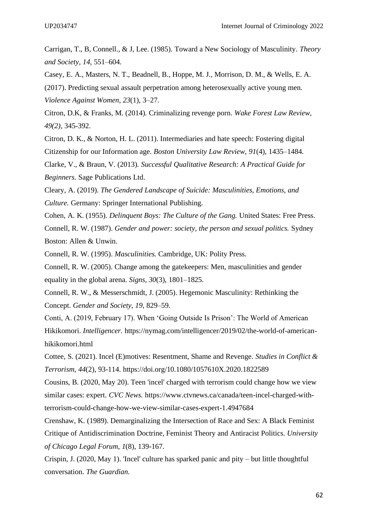Carrigan, T., B, Connell., & J, Lee. (1985). Toward a New Sociology of Masculinity. *Theory and Society, 14,* 551–604.

Casey, E. A., Masters, N. T., Beadnell, B., Hoppe, M. J., Morrison, D. M., & Wells, E. A.

(2017). Predicting sexual assault perpetration among heterosexually active young men. *Violence Against Women, 23*(1), 3–27.

Citron, D.K, & Franks, M. (2014). Criminalizing revenge porn. *Wake Forest Law Review, 49(2),* 345-392.

Citron, D. K., & Norton, H. L. (2011). Intermediaries and hate speech: Fostering digital Citizenship for our Information age. *Boston University Law Review*, *91*(4), 1435–1484.

Clarke, V., & Braun, V. (2013). *Successful Qualitative Research: A Practical Guide for Beginners*. Sage Publications Ltd.

Cleary, A. (2019). *The Gendered Landscape of Suicide: Masculinities, Emotions, and Culture.* Germany: Springer International Publishing.

Cohen, A. K. (1955). *Delinquent Boys: The Culture of the Gang.* United States: Free Press. Connell, R. W. (1987). *Gender and power: society, the person and sexual politics.* Sydney Boston: Allen & Unwin.

Connell, R. W. (1995). *Masculinities.* Cambridge, UK: Polity Press.

Connell, R. W. (2005). Change among the gatekeepers: Men, masculinities and gender equality in the global arena. *Signs*, *30*(3), 1801–1825.

Connell, R. W., & Messerschmidt, J. (2005). Hegemonic Masculinity: Rethinking the Concept. *Gender and Society, 19*, 829–59.

Conti, A. (2019, February 17). When 'Going Outside Is Prison': The World of American Hikikomori. *Intelligencer.* [https://nymag.com/intelligencer/2019/02/the-world-of-american](https://nymag.com/intelligencer/2019/02/the-world-of-american-hikikomori.html)[hikikomori.html](https://nymag.com/intelligencer/2019/02/the-world-of-american-hikikomori.html)

Cottee, S. (2021). Incel (E)motives: Resentment, Shame and Revenge. *Studies in Conflict & Terrorism, 44*(2), 93-114.<https://doi.org/10.1080/1057610X.2020.1822589>

Cousins, B. (2020, May 20). Teen 'incel' charged with terrorism could change how we view similar cases: expert. *CVC News.* [https://www.ctvnews.ca/canada/teen-incel-charged-with](https://www.ctvnews.ca/canada/teen-incel-charged-with-terrorism-could-change-how-we-view-similar-cases-expert-1.4947684)[terrorism-could-change-how-we-view-similar-cases-expert-1.4947684](https://www.ctvnews.ca/canada/teen-incel-charged-with-terrorism-could-change-how-we-view-similar-cases-expert-1.4947684)

Crenshaw, K. (1989). Demarginalizing the Intersection of Race and Sex: A Black Feminist Critique of Antidiscrimination Doctrine, Feminist Theory and Antiracist Politics. *University of Chicago Legal Forum*, *1*(8), 139-167.

Crispin, J. (2020, May 1). 'Incel' culture has sparked panic and pity – but little thoughtful conversation. *The Guardian.*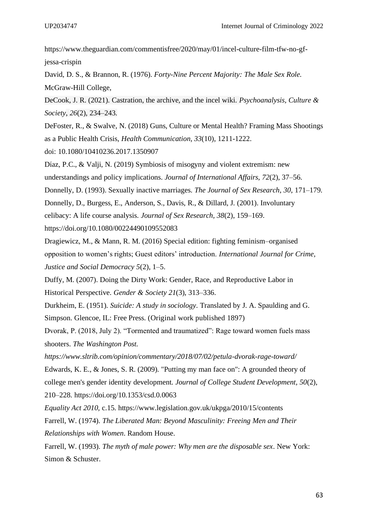[https://www.theguardian.com/commentisfree/2020/may/01/incel-culture-film-tfw-no-gf](https://www.theguardian.com/commentisfree/2020/may/01/incel-culture-film-tfw-no-gf-jessa-crispin)[jessa-crispin](https://www.theguardian.com/commentisfree/2020/may/01/incel-culture-film-tfw-no-gf-jessa-crispin)

David, D. S., & Brannon, R. (1976). *Forty-Nine Percent Majority: The Male Sex Role.* McGraw-Hill College,

DeCook, J. R. (2021). Castration, the archive, and the incel wiki. *Psychoanalysis, Culture & Society*, *26*(2), 234–243.

DeFoster, R., & Swalve, N. (2018) Guns, Culture or Mental Health? Framing Mass Shootings as a Public Health Crisis, *Health Communication, 33*(10), 1211-1222. doi: [10.1080/10410236.2017.1350907](https://doi.org/10.1080/10410236.2017.1350907)

Díaz, P.C., & Valji, N. (2019) Symbiosis of misogyny and violent extremism: new understandings and policy implications. *Journal of International Affairs, 72*(2), 37–56.

Donnelly, D. (1993). Sexually inactive marriages. *The Journal of Sex Research*, *30*, 171–179.

Donnelly, D., Burgess, E., Anderson, S., Davis, R., & Dillard, J. (2001). Involuntary

celibacy: A life course analysis. *Journal of Sex Research, 38*(2), 159–169.

https://doi.org/10.1080/00224490109552083

Dragiewicz, M., & Mann, R. M. (2016) Special edition: fighting feminism–organised opposition to women's rights; Guest editors' introduction. *International Journal for Crime, Justice and Social Democracy 5*(2), 1–5.

Duffy, M. (2007). Doing the Dirty Work: Gender, Race, and Reproductive Labor in Historical Perspective. *Gender & Society 21*(3), 313–336.

Durkheim, E. (1951). *Suicide: A study in sociology*. Translated by J. A. Spaulding and G. Simpson. Glencoe, IL: Free Press. (Original work published 1897)

Dvorak, P. (2018, July 2). "Tormented and traumatized": Rage toward women fuels mass shooters. *The Washington Post.* 

*<https://www.sltrib.com/opinion/commentary/2018/07/02/petula-dvorak-rage-toward/>* Edwards, K. E., & Jones, S. R. (2009). "Putting my man face on": A grounded theory of college men's gender identity development. *Journal of College Student Development, 50*(2), 210–228. [https://doi.org/10.1353/csd.0.0063](https://psycnet.apa.org/doi/10.1353/csd.0.0063)

*Equality Act 2010,* c.15.<https://www.legislation.gov.uk/ukpga/2010/15/contents>

Farrell, W. (1974). *The Liberated Man: Beyond Masculinity: Freeing Men and Their Relationships with Women*. Random House.

Farrell, W. (1993). *The myth of male power: Why men are the disposable sex*. New York: Simon & Schuster.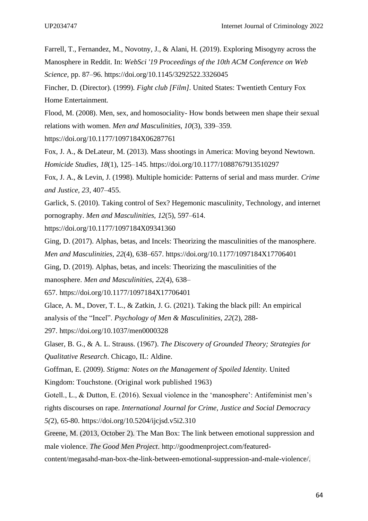Farrell, T., Fernandez, M., Novotny, J., & Alani, H. (2019). Exploring Misogyny across the Manosphere in Reddit. In: *WebSci '19 Proceedings of the 10th ACM Conference on Web Science,* pp. 87–96.<https://doi.org/10.1145/3292522.3326045>

Fincher, D. (Director). (1999). *Fight club [Film]*. United States: Twentieth Century Fox Home Entertainment.

Flood, M. (2008). Men, sex, and homosociality- How bonds between men shape their sexual relations with women. *Men and Masculinities, 10*(3), 339–359.

https://doi.org/10.1177/1097184X06287761

Fox, J. A., & DeLateur, M. (2013). Mass shootings in America: Moving beyond Newtown. *Homicide Studies, 18*(1), 125–145. [https://doi.org/10.1177/1088767913510297](https://doi.org/10.1177%2F1088767913510297)

Fox, J. A., & Levin, J. (1998). Multiple homicide: Patterns of serial and mass murder. *Crime and Justice, 23*, 407–455.

Garlick, S. (2010). Taking control of Sex? Hegemonic masculinity, Technology, and internet pornography. *Men and Masculinities, 12*(5), 597–614.

https://doi.org/10.1177/1097184X09341360

Ging, D. (2017). Alphas, betas, and Incels: Theorizing the masculinities of the manosphere. *Men and Masculinities*, *22*(4), 638–657. [https://doi.org/10.1177/1097184X17706401](https://doi.org/10.1177%2F1097184X17706401)

Ging, D. (2019). Alphas, betas, and incels: Theorizing the masculinities of the manosphere. *Men and Masculinities, 22*(4), 638–

657. [https://doi.org/10.1177/1097184X17706401](https://psycnet.apa.org/doi/10.1177/1097184X17706401)

Glace, A. M., Dover, T. L., & Zatkin, J. G. (2021). Taking the black pill: An empirical

analysis of the "Incel". *Psychology of Men & Masculinities, 22*(2), 288-

297. [https://doi.org/10.1037/men0000328](https://psycnet.apa.org/doi/10.1037/men0000328)

Glaser, B. G., & A. L. Strauss. (1967). *The Discovery of Grounded Theory; Strategies for Qualitative Research*. Chicago, IL: Aldine.

Goffman, E. (2009). *Stigma: Notes on the Management of Spoiled Identity.* United

Kingdom: Touchstone. (Original work published 1963)

Gotell., L., & Dutton, E. (2016). Sexual violence in the 'manosphere': Antifeminist men's rights discourses on rape. *International Journal for Crime, Justice and Social Democracy 5(*2), 65-80.<https://doi.org/10.5204/ijcjsd.v5i2.310>

Greene, M. (2013, October 2). The Man Box: The link between emotional suppression and male violence. *The Good Men Project*. [http://goodmenproject.com/featured-](http://goodmenproject.com/featured-content/megasahd-man-box-the-link-between-emotional-suppression-and-male-violence/)

[content/megasahd-man-box-the-link-between-emotional-suppression-and-male-violence/.](http://goodmenproject.com/featured-content/megasahd-man-box-the-link-between-emotional-suppression-and-male-violence/)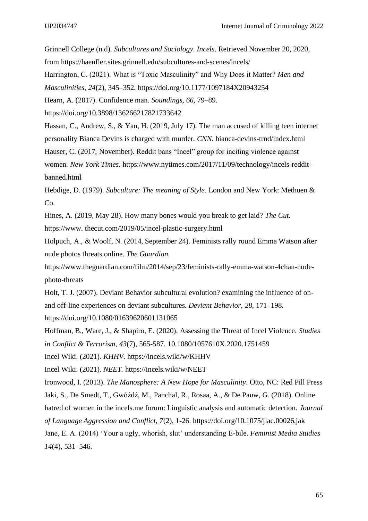Grinnell College (n.d). *Subcultures and Sociology. Incels*. Retrieved November 20, 2020, from<https://haenfler.sites.grinnell.edu/subcultures-and-scenes/incels/> Harrington, C. (2021). What is "Toxic Masculinity" and Why Does it Matter? *Men and Masculinities*, *24*(2), 345–352. <https://doi.org/10.1177/1097184X20943254> Hearn, A. (2017). Confidence man. *Soundings, 66,* 79–89. <https://doi.org/10.3898/136266217821733642> Hassan, C., Andrew, S., & Yan, H. (2019, July 17). The man accused of killing teen internet personality Bianca Devins is charged with murder. *CNN.* bianca-devins-trnd/index.html

Hauser, C. (2017, November). Reddit bans "Incel" group for inciting violence against

women*. New York Times.* [https://www.nytimes.com/2017/11/09/technology/incels-reddit](https://www.nytimes.com/2017/11/09/technology/incels-reddit-banned.html)[banned.html](https://www.nytimes.com/2017/11/09/technology/incels-reddit-banned.html)

Hebdige, D. (1979). *Subculture: The meaning of Style.* London and New York: Methuen & Co.

Hines, A. (2019, May 28). How many bones would you break to get laid? *The Cut.*

https://www. thecut.com/2019/05/incel-plastic-surgery.html

Holpuch, A., & Woolf, N. (2014, September 24). Feminists rally round Emma Watson after nude photos threats online. *The Guardian.*

[https://www.theguardian.com/film/2014/sep/23/feminists-rally-emma-watson-4chan-nude](https://www.theguardian.com/film/2014/sep/23/feminists-rally-emma-watson-4chan-nude-photo-threats)[photo-threats](https://www.theguardian.com/film/2014/sep/23/feminists-rally-emma-watson-4chan-nude-photo-threats)

Holt, T. J. (2007). Deviant Behavior subcultural evolution? examining the influence of onand off-line experiences on deviant subcultures. *Deviant Behavior*, *28*, 171–198. <https://doi.org/10.1080/01639620601131065>

Hoffman, B., Ware, J., & Shapiro, E. (2020). Assessing the Threat of Incel Violence. *Studies in Conflict & Terrorism, 43*(7), 565-587. [10.1080/1057610X.2020.1751459](https://doi.org/10.1080/1057610X.2020.1751459)

Incel Wiki. (2021). *KHHV*.<https://incels.wiki/w/KHHV>

Incel Wiki. (2021). *NEET.* <https://incels.wiki/w/NEET>

Ironwood, I. (2013). *The Manosphere: A New Hope for Masculinity*. Otto, NC: Red Pill Press Jaki, S., De Smedt, T., Gwóźdź, M., Panchal, R., Rosaa, A., & De Pauw, G. (2018). Online hatred of women in the incels.me forum: Linguistic analysis and automatic detection. *Journal of Language Aggression and Conflict, 7*(2), 1-26.<https://doi.org/10.1075/jlac.00026.jak> Jane, E. A. (2014) 'Your a ugly, whorish, slut' understanding E-bile. *Feminist Media Studies 14*(4), 531–546.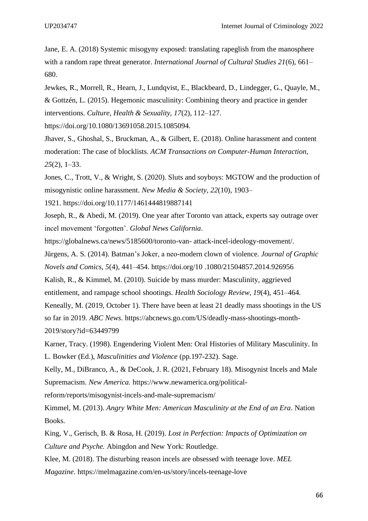Jane, E. A. (2018) Systemic misogyny exposed: translating rapeglish from the manosphere with a random rape threat generator. *International Journal of Cultural Studies 21*(6), 661– 680.

Jewkes, R., Morrell, R., Hearn, J., Lundqvist, E., Blackbeard, D., Lindegger, G., Quayle, M., & Gottzén, L. (2015). Hegemonic masculinity: Combining theory and practice in gender interventions. *Culture, Health & Sexuality, 17*(2), 112–127.

https://doi.org/10.1080/13691058.2015.1085094.

Jhaver, S., Ghoshal, S., Bruckman, A., & Gilbert, E. (2018). Online harassment and content moderation: The case of blocklists. *ACM Transactions on Computer-Human Interaction*, *25*(2), 1–33.

Jones, C., Trott, V., & Wright, S. (2020). Sluts and soyboys: MGTOW and the production of misogynistic online harassment. *New Media & Society*, *22*(10), 1903–

1921. <https://doi.org/10.1177/1461444819887141>

Joseph, R., & Abedi, M. (2019). One year after Toronto van attack, experts say outrage over incel movement 'forgotten'. *Global News California*.

https://globalnews.ca/news/5185600/toronto-van- attack-incel-ideology-movement/.

Jürgens, A. S. (2014). Batman's Joker, a neo-modern clown of violence. *Journal of Graphic Novels and Comics, 5*(4), 441–454. https://doi.org/10 .1080/21504857.2014.926956

Kalish, R., & Kimmel, M. (2010). Suicide by mass murder: Masculinity, aggrieved

entitlement, and rampage school shootings. *Health Sociology Review, 19*(4), 451–464.

Keneally, M. (2019, October 1). There have been at least 21 deadly mass shootings in the US

so far in 2019. *ABC News*. [https://abcnews.go.com/US/deadly-mass-shootings-month-](https://abcnews.go.com/US/deadly-mass-shootings-month-2019/story?id=63449799)[2019/story?id=63449799](https://abcnews.go.com/US/deadly-mass-shootings-month-2019/story?id=63449799)

Karner, Tracy. (1998). Engendering Violent Men: Oral Histories of Military Masculinity. In L. Bowker (Ed.), *Masculinities and Violence* (pp.197-232). Sage.

Kelly, M., DiBranco, A., & DeCook, J. R. (2021, February 18). Misogynist Incels and Male Supremacism. *New America.* [https://www.newamerica.org/political-](https://www.newamerica.org/political-reform/reports/misogynist-incels-and-male-supremacism/)

[reform/reports/misogynist-incels-and-male-supremacism/](https://www.newamerica.org/political-reform/reports/misogynist-incels-and-male-supremacism/)

Kimmel, M. (2013). *Angry White Men: American Masculinity at the End of an Era*. Nation Books.

King, V., Gerisch, B. & Rosa, H. (2019). *Lost in Perfection: Impacts of Optimization on Culture and Psyche.* Abingdon and New York: Routledge.

Klee, M. (2018). The disturbing reason incels are obsessed with teenage love. *MEL Magazine*. <https://melmagazine.com/en-us/story/incels-teenage-love>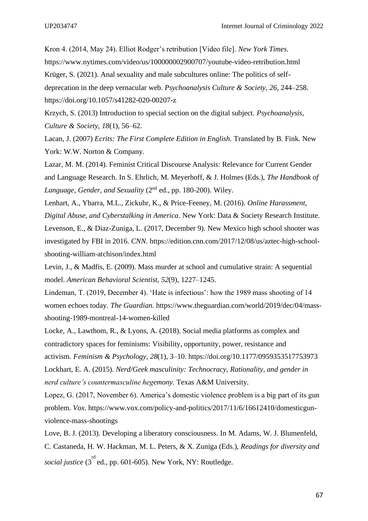Kron 4. (2014, May 24). Elliot Rodger's retribution [Video file]. *New York Times.* <https://www.nytimes.com/video/us/100000002900707/youtube-video-retribution.html> Krüger, S. (2021). Anal sexuality and male subcultures online: The politics of selfdeprecation in the deep vernacular web. *Psychoanalysis Culture & Society, 26,* 244–258. <https://doi.org/10.1057/s41282-020-00207-z>

Krzych, S. (2013) Introduction to special section on the digital subject. *Psychoanalysis, Culture & Society, 18*(1), 56–62.

Lacan, J. (2007) *Ecrits: The First Complete Edition in English.* Translated by B. Fink. New York: W.W. Norton & Company.

Lazar, M. M. (2014). Feminist Critical Discourse Analysis: Relevance for Current Gender and Language Research. In S. Ehrlich, M. Meyerhoff, & J. Holmes (Eds.), *The Handbook of Language, Gender, and Sexuality* (2nd ed., pp. 180-200). Wiley.

Lenhart, A., Ybarra, M.L., Zickuhr, K., & Price-Feeney, M. (2016). *Online Harassment, Digital Abuse, and Cyberstalking in America*. New York: Data & Society Research Institute. Levenson, E., & Diaz-Zuniga, L. (2017, December 9). New Mexico high school shooter was investigated by FBI in 2016. *CNN*. [https://edition.cnn.com/2017/12/08/us/aztec-high-school](https://edition.cnn.com/2017/12/08/us/aztec-high-school-shooting-william-atchison/index.html)[shooting-william-atchison/index.html](https://edition.cnn.com/2017/12/08/us/aztec-high-school-shooting-william-atchison/index.html)

Levin, J., & Madfis, E. (2009). Mass murder at school and cumulative strain: A sequential model. *American Behavioral Scientist, 52*(9), 1227–1245.

Lindeman, T. (2019, December 4). 'Hate is infectious': how the 1989 mass shooting of 14 women echoes today. *The Guardian.* [https://www.theguardian.com/world/2019/dec/04/mass](https://www.theguardian.com/world/2019/dec/04/mass-shooting-1989-montreal-14-women-killed)[shooting-1989-montreal-14-women-killed](https://www.theguardian.com/world/2019/dec/04/mass-shooting-1989-montreal-14-women-killed)

Locke, A., Lawthom, R., & Lyons, A. (2018). Social media platforms as complex and contradictory spaces for feminisms: Visibility, opportunity, power, resistance and activism. *Feminism & Psychology*, *28*(1), 3–10. <https://doi.org/10.1177/0959353517753973> Lockhart, E. A. (2015). *Nerd/Geek masculinity: Technocracy, Rationality, and gender in nerd culture's countermasculine hegemony*. Texas A&M University.

Lopez, G. (2017, November 6). America's domestic violence problem is a big part of its gun problem. *Vox.* [https://www.vox.com/policy-and-politics/2017/11/6/16612410/domesticgun](https://www.vox.com/policy-and-politics/2017/11/6/16612410/domesticgun-violence-mass-shootings)[violence-mass-shootings](https://www.vox.com/policy-and-politics/2017/11/6/16612410/domesticgun-violence-mass-shootings)

Love, B. J. (2013). Developing a liberatory consciousness. In M. Adams, W. J. Blumenfeld, C. Castaneda, H. W. Hackman, M. L. Peters, & X. Zuniga (Eds.), *Readings for diversity and*  social justice (3<sup>rd</sup> ed., pp. 601-605). New York, NY: Routledge.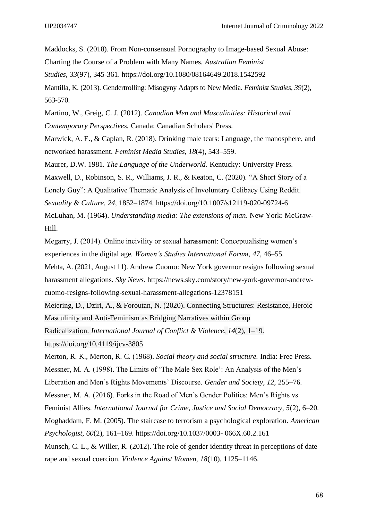Maddocks, S. (2018). From Non-consensual Pornography to Image-based Sexual Abuse:

Charting the Course of a Problem with Many Names. *Australian Feminist* 

*Studies, 33*(97), 345-361.<https://doi.org/10.1080/08164649.2018.1542592>

Mantilla, K. (2013). Gendertrolling: Misogyny Adapts to New Media. *Feminist Studies, 39*(2), 563-570.

Martino, W., Greig, C. J. (2012). *Canadian Men and Masculinities: Historical and Contemporary Perspectives.* Canada: Canadian Scholars' Press.

Marwick, A. E., & Caplan, R. (2018). Drinking male tears: Language, the manosphere, and networked harassment. *Feminist Media Studies*, *18*(4), 543–559.

Maurer, D.W. 1981. *The Language of the Underworld*. Kentucky: University Press.

Maxwell, D., Robinson, S. R., Williams, J. R., & Keaton, C. (2020). "A Short Story of a

Lonely Guy": A Qualitative Thematic Analysis of Involuntary Celibacy Using Reddit.

*Sexuality & Culture, 24*, 1852–1874.<https://doi.org/10.1007/s12119-020-09724-6>

McLuhan, M. (1964). *Understanding media: The extensions of man*. New York: McGraw-Hill.

Megarry, J. (2014). Online incivility or sexual harassment: Conceptualising women's experiences in the digital age. *Women's Studies International Forum*, *47*, 46–55.

Mehta, A. (2021, August 11). Andrew Cuomo: New York governor resigns following sexual harassment allegations. *Sky News.* [https://news.sky.com/story/new-york-governor-andrew](https://news.sky.com/story/new-york-governor-andrew-cuomo-resigns-following-sexual-harassment-allegations-12378151)[cuomo-resigns-following-sexual-harassment-allegations-12378151](https://news.sky.com/story/new-york-governor-andrew-cuomo-resigns-following-sexual-harassment-allegations-12378151)

Meiering, D., Dziri, A., & Foroutan, N. (2020). Connecting Structures: Resistance, Heroic

Masculinity and Anti-Feminism as Bridging Narratives within Group

Radicalization. *International Journal of Conflict & Violence*, *14*(2), 1–19.

<https://doi.org/10.4119/ijcv-3805>

Merton, R. K., Merton, R. C. (1968). *Social theory and social structure.* India: Free Press. Messner, M. A. (1998). The Limits of 'The Male Sex Role': An Analysis of the Men's

Liberation and Men's Rights Movements' Discourse. *Gender and Society, 12,* 255–76.

Messner, M. A. (2016). Forks in the Road of Men's Gender Politics: Men's Rights vs

Feminist Allies. *International Journal for Crime, Justice and Social Democracy, 5*(2), 6–20.

Moghaddam, F. M. (2005). The staircase to terrorism a psychological exploration. *American Psychologist*, *60*(2), 161–169. https://doi.org/10.1037/0003- 066X.60.2.161

Munsch, C. L., & Willer, R. (2012). The role of gender identity threat in perceptions of date rape and sexual coercion. *Violence Against Women, 18*(10), 1125–1146.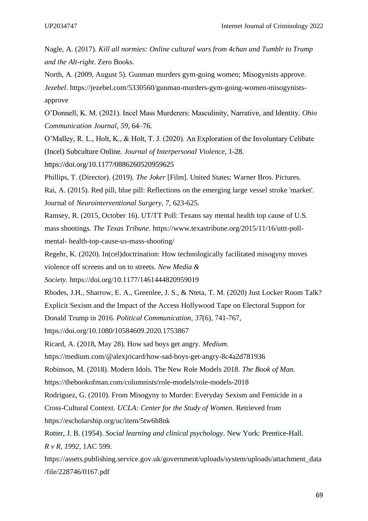- Nagle, A. (2017). *Kill all normies: Online cultural wars from 4chan and Tumblr to Trump and the Alt-right*. Zero Books.
- North, A. (2009, August 5). Gunman murders gym-going women; Misogynists approve.

*Jezebel*. https://jezebel.com/5330560/gunman-murders-gym-going-women-misogynistsapprove

O'Donnell, K. M. (2021). Incel Mass Murderers: Masculinity, Narrative, and Identity. *Ohio Communication Journal*, *59*, 64–76.

- O'Malley, R. L., Holt, K., & Holt, T. J. (2020). An Exploration of the Involuntary Celibate (Incel) Subculture Online. *Journal of Interpersonal Violence*, 1-28.
- <https://doi.org/10.1177/0886260520959625>

Phillips, T. (Director). (2019). *The Joker* [Film]. United States: Warner Bros. Pictures.

Rai, A. (2015). Red pill, blue pill: Reflections on the emerging large vessel stroke 'market'. Journal of *Neurointerventional Surgery, 7,* 623-625.

Ramsey, R. (2015, October 16). UT/TT Poll: Texans say mental health top cause of U.S. mass shootings. *The Texas Tribune*. https://www.texastribune.org/2015/11/16/uttt-pollmental- health-top-cause-us-mass-shooting/

Regehr, K. (2020). In(cel)doctrination: How technologically facilitated misogyny moves violence off screens and on to streets. *New Media &*

*Society*. <https://doi.org/10.1177/1461444820959019>

Rhodes, J.H., Sharrow, E. A., Greenlee, J. S., & Nteta, T. M. (2020) Just Locker Room Talk?

Explicit Sexism and the Impact of the Access Hollywood Tape on Electoral Support for

Donald Trump in 2016. *Political Communication, 37*(6), 741-767,

<https://doi.org/10.1080/10584609.2020.1753867>

Ricard, A. (2018, May 28). How sad boys get angry. *Medium*.

<https://medium.com/@alexjricard/how-sad-boys-get-angry-8c4a2d781936>

Robinson, M. (2018). Modern Idols. The New Role Models 2018. *The Book of Man.*

<https://thebookofman.com/columnists/role-models/role-models-2018>

Rodriguez, G. (2010). From Misogyny to Murder: Everyday Sexism and Femicide in a

Cross-Cultural Context. *UCLA: Center for the Study of Women*. Retrieved from

<https://escholarship.org/uc/item/5tw6h8nk>

[https://assets.publishing.service.gov.uk/government/uploads/system/uploads/attachment\\_data](https://assets.publishing.service.gov.uk/government/uploads/system/uploads/attachment_data/file/228746/0167.pdf) [/file/228746/0167.pdf](https://assets.publishing.service.gov.uk/government/uploads/system/uploads/attachment_data/file/228746/0167.pdf)

Rotter, J. B. (1954). *Social learning and clinical psychology*. New York: Prentice-Hall. *R v R, 1992,* 1AC 599.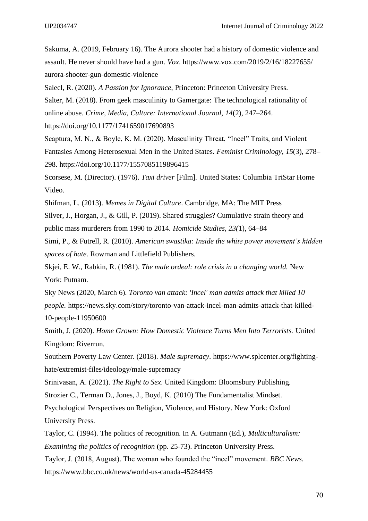Sakuma, A. (2019, February 16). The Aurora shooter had a history of domestic violence and assault. He never should have had a gun. *Vox*. https://www.vox.com/2019/2/16/18227655/ aurora-shooter-gun-domestic-violence

Salecl, R. (2020). *A Passion for Ignorance*, Princeton: Princeton University Press.

Salter, M. (2018). From geek masculinity to Gamergate: The technological rationality of online abuse. *Crime, Media, Culture: International Journal, 14*(2), 247–264.

https://doi.org/10.1177/1741659017690893

Scaptura, M. N., & Boyle, K. M. (2020). Masculinity Threat, "Incel" Traits, and Violent Fantasies Among Heterosexual Men in the United States. *Feminist Criminology*, *15*(3), 278– 298. <https://doi.org/10.1177/1557085119896415>

Scorsese, M. (Director). (1976). *Taxi driver* [Film]. United States: Columbia TriStar Home Video.

Shifman, L. (2013). *Memes in Digital Culture*. Cambridge, MA: The MIT Press Silver, J., Horgan, J., & Gill, P. (2019). Shared struggles? Cumulative strain theory and public mass murderers from 1990 to 2014. *Homicide Studies, 23(*1), 64–84

Simi, P., & Futrell, R. (2010). *American swastika: Inside the white power movement's hidden spaces of hate*. Rowman and Littlefield Publishers.

Skjei, E. W., Rabkin, R. (1981). *The male ordeal: role crisis in a changing world.* New York: Putnam.

Sky News (2020, March 6). *Toronto van attack: 'Incel' man admits attack that killed 10 people.* [https://news.sky.com/story/toronto-van-attack-incel-man-admits-attack-that-killed-](https://news.sky.com/story/toronto-van-attack-incel-man-admits-attack-that-killed-10-people-11950600)[10-people-11950600](https://news.sky.com/story/toronto-van-attack-incel-man-admits-attack-that-killed-10-people-11950600)

Smith, J. (2020). *Home Grown: How Domestic Violence Turns Men Into Terrorists.* United Kingdom: Riverrun.

Southern Poverty Law Center. (2018). *Male supremacy*. [https://www.splcenter.org/fighting](https://www.splcenter.org/fighting-hate/extremist-files/ideology/male-supremacy)[hate/extremist-files/ideology/male-supremacy](https://www.splcenter.org/fighting-hate/extremist-files/ideology/male-supremacy)

Srinivasan, A. (2021). *The Right to Sex*. United Kingdom: Bloomsbury Publishing.

Strozier C., Terman D., Jones, J., Boyd, K. (2010) The Fundamentalist Mindset.

Psychological Perspectives on Religion, Violence, and History. New York: Oxford University Press.

Taylor, C. (1994). The politics of recognition. In A. Gutmann (Ed.), *Multiculturalism: Examining the politics of recognition* (pp. 25-73). Princeton University Press.

Taylor, J. (2018, August). The woman who founded the "incel" movement. *BBC News.*  <https://www.bbc.co.uk/news/world-us-canada-45284455>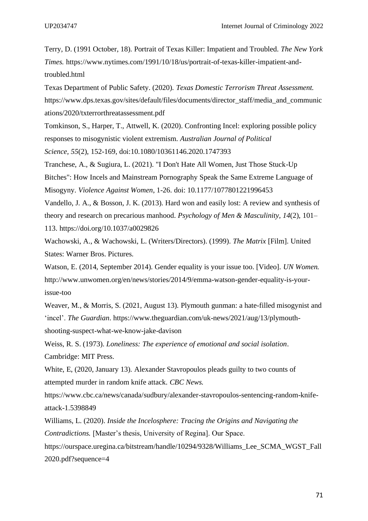Terry, D. (1991 October, 18). Portrait of Texas Killer: Impatient and Troubled. *The New York Times.* [https://www.nytimes.com/1991/10/18/us/portrait-of-texas-killer-impatient-and](https://www.nytimes.com/1991/10/18/us/portrait-of-texas-killer-impatient-and-troubled.html)[troubled.html](https://www.nytimes.com/1991/10/18/us/portrait-of-texas-killer-impatient-and-troubled.html)

Texas Department of Public Safety. (2020). *Texas Domestic Terrorism Threat Assessment.* [https://www.dps.texas.gov/sites/default/files/documents/director\\_staff/media\\_and\\_communic](https://www.dps.texas.gov/sites/default/files/documents/director_staff/media_and_communications/2020/txterrorthreatassessment.pdf) [ations/2020/txterrorthreatassessment.pdf](https://www.dps.texas.gov/sites/default/files/documents/director_staff/media_and_communications/2020/txterrorthreatassessment.pdf)

Tomkinson, S., Harper, T., Attwell, K. (2020). Confronting Incel: exploring possible policy responses to misogynistic violent extremism. *Australian Journal of Political Science, 55*(2), 152-169, doi[:10.1080/10361146.2020.1747393](https://doi.org/10.1080/10361146.2020.1747393)

Tranchese, A., & Sugiura, L. (2021). "I Don't Hate All Women, Just Those Stuck-Up Bitches": How Incels and Mainstream Pornography Speak the Same Extreme Language of Misogyny. *Violence Against Women*, 1-26. doi: 10.1177/1077801221996453

Vandello, J. A., & Bosson, J. K. (2013). Hard won and easily lost: A review and synthesis of theory and research on precarious manhood. *Psychology of Men & Masculinity, 14*(2), 101– 113. [https://doi.org/10.1037/a0029826](https://psycnet.apa.org/doi/10.1037/a0029826)

Wachowski, A., & Wachowski, L. (Writers/Directors). (1999). *The Matrix* [Film]. United States: Warner Bros. Pictures.

Watson, E. (2014, September 2014). Gender equality is your issue too. [Video]. *UN Women.* [http://www.unwomen.org/en/news/stories/2014/9/emma-watson-gender-equality-is-your](http://www.unwomen.org/en/news/stories/2014/9/emma-watson-gender-equality-is-your-issue-too)[issue-too](http://www.unwomen.org/en/news/stories/2014/9/emma-watson-gender-equality-is-your-issue-too)

Weaver, M., & Morris, S. (2021, August 13). Plymouth gunman: a hate-filled misogynist and 'incel'. *The Guardian*. [https://www.theguardian.com/uk-news/2021/aug/13/plymouth](https://www.theguardian.com/uk-news/2021/aug/13/plymouth-shooting-suspect-what-we-know-jake-davison)[shooting-suspect-what-we-know-jake-davison](https://www.theguardian.com/uk-news/2021/aug/13/plymouth-shooting-suspect-what-we-know-jake-davison)

Weiss, R. S. (1973). *Loneliness: The experience of emotional and social isolation*. Cambridge: MIT Press.

White, E, (2020, January 13). Alexander Stavropoulos pleads guilty to two counts of attempted murder in random knife attack. *CBC News.* 

[https://www.cbc.ca/news/canada/sudbury/alexander-stavropoulos-sentencing-random-knife](https://www.cbc.ca/news/canada/sudbury/alexander-stavropoulos-sentencing-random-knife-attack-1.5398849)[attack-1.5398849](https://www.cbc.ca/news/canada/sudbury/alexander-stavropoulos-sentencing-random-knife-attack-1.5398849)

Williams, L. (2020). *Inside the Incelosphere: Tracing the Origins and Navigating the Contradictions.* [Master's thesis, University of Regina]. Our Space. [https://ourspace.uregina.ca/bitstream/handle/10294/9328/Williams\\_Lee\\_SCMA\\_WGST\\_Fall](https://ourspace.uregina.ca/bitstream/handle/10294/9328/Williams_Lee_SCMA_WGST_Fall2020.pdf?sequence=4) [2020.pdf?sequence=4](https://ourspace.uregina.ca/bitstream/handle/10294/9328/Williams_Lee_SCMA_WGST_Fall2020.pdf?sequence=4)